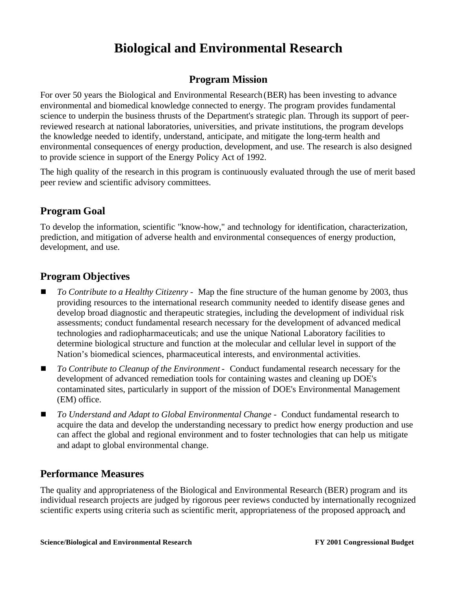# **Biological and Environmental Research**

## **Program Mission**

For over 50 years the Biological and Environmental Research(BER) has been investing to advance environmental and biomedical knowledge connected to energy. The program provides fundamental science to underpin the business thrusts of the Department's strategic plan. Through its support of peerreviewed research at national laboratories, universities, and private institutions, the program develops the knowledge needed to identify, understand, anticipate, and mitigate the long-term health and environmental consequences of energy production, development, and use. The research is also designed to provide science in support of the Energy Policy Act of 1992.

The high quality of the research in this program is continuously evaluated through the use of merit based peer review and scientific advisory committees.

## **Program Goal**

To develop the information, scientific "know-how," and technology for identification, characterization, prediction, and mitigation of adverse health and environmental consequences of energy production, development, and use.

## **Program Objectives**

- <sup>g</sup> *To Contribute to a Healthy Citizenry* Map the fine structure of the human genome by 2003, thus providing resources to the international research community needed to identify disease genes and develop broad diagnostic and therapeutic strategies, including the development of individual risk assessments; conduct fundamental research necessary for the development of advanced medical technologies and radiopharmaceuticals; and use the unique National Laboratory facilities to determine biological structure and function at the molecular and cellular level in support of the Nation's biomedical sciences, pharmaceutical interests, and environmental activities.
- <sup>g</sup> *To Contribute to Cleanup of the Environment*  Conduct fundamental research necessary for the development of advanced remediation tools for containing wastes and cleaning up DOE's contaminated sites, particularly in support of the mission of DOE's Environmental Management (EM) office.
- <sup>g</sup> *To Understand and Adapt to Global Environmental Change* Conduct fundamental research to acquire the data and develop the understanding necessary to predict how energy production and use can affect the global and regional environment and to foster technologies that can help us mitigate and adapt to global environmental change.

### **Performance Measures**

The quality and appropriateness of the Biological and Environmental Research (BER) program and its individual research projects are judged by rigorous peer reviews conducted by internationally recognized scientific experts using criteria such as scientific merit, appropriateness of the proposed approach, and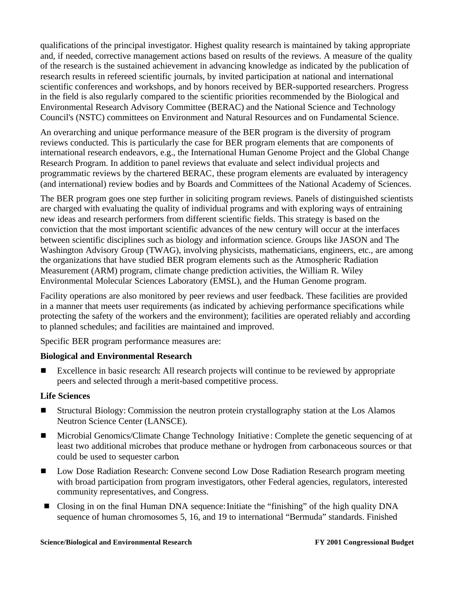qualifications of the principal investigator. Highest quality research is maintained by taking appropriate and, if needed, corrective management actions based on results of the reviews. A measure of the quality of the research is the sustained achievement in advancing knowledge as indicated by the publication of research results in refereed scientific journals, by invited participation at national and international scientific conferences and workshops, and by honors received by BER-supported researchers. Progress in the field is also regularly compared to the scientific priorities recommended by the Biological and Environmental Research Advisory Committee (BERAC) and the National Science and Technology Council's (NSTC) committees on Environment and Natural Resources and on Fundamental Science.

An overarching and unique performance measure of the BER program is the diversity of program reviews conducted. This is particularly the case for BER program elements that are components of international research endeavors, e.g., the International Human Genome Project and the Global Change Research Program. In addition to panel reviews that evaluate and select individual projects and programmatic reviews by the chartered BERAC, these program elements are evaluated by interagency (and international) review bodies and by Boards and Committees of the National Academy of Sciences.

The BER program goes one step further in soliciting program reviews. Panels of distinguished scientists are charged with evaluating the quality of individual programs and with exploring ways of entraining new ideas and research performers from different scientific fields. This strategy is based on the conviction that the most important scientific advances of the new century will occur at the interfaces between scientific disciplines such as biology and information science. Groups like JASON and The Washington Advisory Group (TWAG), involving physicists, mathematicians, engineers, etc., are among the organizations that have studied BER program elements such as the Atmospheric Radiation Measurement (ARM) program, climate change prediction activities, the William R. Wiley Environmental Molecular Sciences Laboratory (EMSL), and the Human Genome program.

Facility operations are also monitored by peer reviews and user feedback. These facilities are provided in a manner that meets user requirements (as indicated by achieving performance specifications while protecting the safety of the workers and the environment); facilities are operated reliably and according to planned schedules; and facilities are maintained and improved.

Specific BER program performance measures are:

#### **Biological and Environmental Research**

**EXCELLED EXCELLENCE I**n basic research: All research projects will continue to be reviewed by appropriate peers and selected through a merit-based competitive process.

#### **Life Sciences**

- Structural Biology: Commission the neutron protein crystallography station at the Los Alamos Neutron Science Center (LANSCE).
- Microbial Genomics/Climate Change Technology Initiative : Complete the genetic sequencing of at least two additional microbes that produce methane or hydrogen from carbonaceous sources or that could be used to sequester carbon.
- Low Dose Radiation Research: Convene second Low Dose Radiation Research program meeting with broad participation from program investigators, other Federal agencies, regulators, interested community representatives, and Congress.
- **Detail Closing in on the final Human DNA sequence: Initiate the "finishing" of the high quality DNA** sequence of human chromosomes 5, 16, and 19 to international "Bermuda" standards. Finished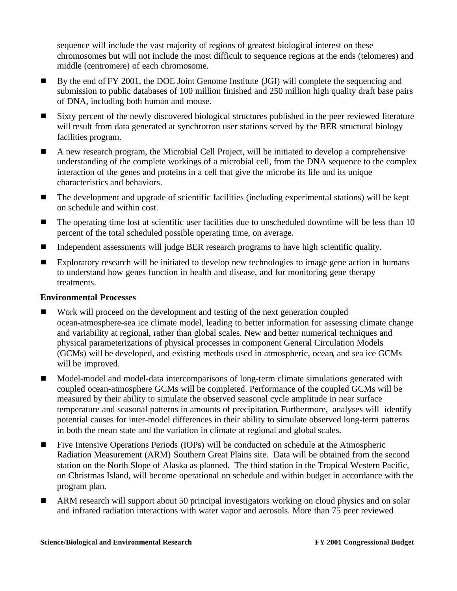sequence will include the vast majority of regions of greatest biological interest on these chromosomes but will not include the most difficult to sequence regions at the ends (telomeres) and middle (centromere) of each chromosome.

- <sup>g</sup> By the end of FY 2001, the DOE Joint Genome Institute (JGI) will complete the sequencing and submission to public databases of 100 million finished and 250 million high quality draft base pairs of DNA, including both human and mouse.
- Sixty percent of the newly discovered biological structures published in the peer reviewed literature will result from data generated at synchrotron user stations served by the BER structural biology facilities program.
- <sup>g</sup> A new research program, the Microbial Cell Project, will be initiated to develop a comprehensive understanding of the complete workings of a microbial cell, from the DNA sequence to the complex interaction of the genes and proteins in a cell that give the microbe its life and its unique characteristics and behaviors.
- $\blacksquare$  The development and upgrade of scientific facilities (including experimental stations) will be kept on schedule and within cost.
- $\blacksquare$  The operating time lost at scientific user facilities due to unscheduled downtime will be less than 10 percent of the total scheduled possible operating time, on average.
- Independent assessments will judge BER research programs to have high scientific quality.
- **Exploratory research will be initiated to develop new technologies to image gene action in humans** to understand how genes function in health and disease, and for monitoring gene therapy treatments.

#### **Environmental Processes**

- **IDED** Work will proceed on the development and testing of the next generation coupled ocean-atmosphere-sea ice climate model, leading to better information for assessing climate change and variability at regional, rather than global scales. New and better numerical techniques and physical parameterizations of physical processes in component General Circulation Models (GCMs) will be developed, and existing methods used in atmospheric, ocean, and sea ice GCMs will be improved.
- **IDED-Model-model and model-data intercomparisons of long-term climate simulations generated with** coupled ocean-atmosphere GCMs will be completed. Performance of the coupled GCMs will be measured by their ability to simulate the observed seasonal cycle amplitude in near surface temperature and seasonal patterns in amounts of precipitation. Furthermore, analyses will identify potential causes for inter-model differences in their ability to simulate observed long-term patterns in both the mean state and the variation in climate at regional and globalscales.
- **Five Intensive Operations Periods (IOPs) will be conducted on schedule at the Atmospheric** Radiation Measurement (ARM) Southern Great Plains site. Data will be obtained from the second station on the North Slope of Alaska as planned. The third station in the Tropical Western Pacific, on Christmas Island, will become operational on schedule and within budget in accordance with the program plan.
- ARM research will support about 50 principal investigators working on cloud physics and on solar and infrared radiation interactions with water vapor and aerosols. More than 75 peer reviewed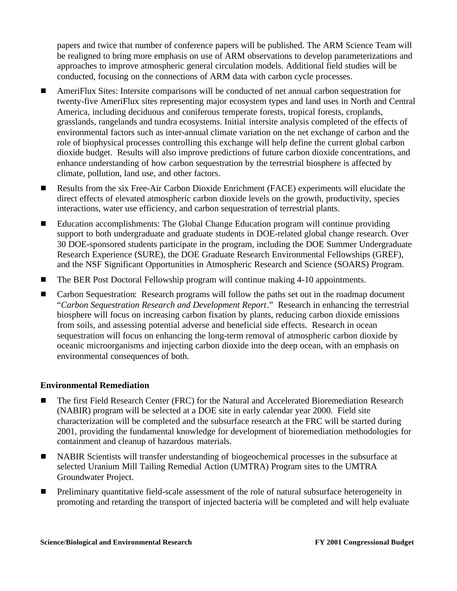papers and twice that number of conference papers will be published. The ARM Science Team will be realigned to bring more emphasis on use of ARM observations to develop parameterizations and approaches to improve atmospheric general circulation models. Additional field studies will be conducted, focusing on the connections of ARM data with carbon cycle processes.

- <sup>g</sup> AmeriFlux Sites: Intersite comparisons will be conducted of net annual carbon sequestration for twenty-five AmeriFlux sites representing major ecosystem types and land uses in North and Central America, including deciduous and coniferous temperate forests, tropical forests, croplands, grasslands, rangelands and tundra ecosystems. Initial intersite analysis completed of the effects of environmental factors such as inter-annual climate variation on the net exchange of carbon and the role of biophysical processes controlling this exchange will help define the current global carbon dioxide budget. Results will also improve predictions of future carbon dioxide concentrations, and enhance understanding of how carbon sequestration by the terrestrial biosphere is affected by climate, pollution, land use, and other factors.
- **EXECUTE:** Results from the six Free-Air Carbon Dioxide Enrichment (FACE) experiments will elucidate the direct effects of elevated atmospheric carbon dioxide levels on the growth, productivity, species interactions, water use efficiency, and carbon sequestration of terrestrial plants.
- Education accomplishments: The Global Change Education program will continue providing support to both undergraduate and graduate students in DOE-related global change research. Over 30 DOE-sponsored students participate in the program, including the DOE Summer Undergraduate Research Experience (SURE), the DOE Graduate Research Environmental Fellowships (GREF), and the NSF Significant Opportunities in Atmospheric Research and Science (SOARS) Program.
- The BER Post Doctoral Fellowship program will continue making 4-10 appointments.
- **EXEC** Carbon Sequestration: Research programs will follow the paths set out in the roadmap document "*Carbon Sequestration Research and Development Report*." Research in enhancing the terrestrial biosphere will focus on increasing carbon fixation by plants, reducing carbon dioxide emissions from soils, and assessing potential adverse and beneficial side effects. Research in ocean sequestration will focus on enhancing the long-term removal of atmospheric carbon dioxide by oceanic microorganisms and injecting carbon dioxide into the deep ocean, with an emphasis on environmental consequences of both.

#### **Environmental Remediation**

- **F** The first Field Research Center (FRC) for the Natural and Accelerated Bioremediation Research (NABIR) program will be selected at a DOE site in early calendar year 2000. Field site characterization will be completed and the subsurface research at the FRC will be started during 2001, providing the fundamental knowledge for development of bioremediation methodologies for containment and cleanup of hazardous materials.
- **IF** NABIR Scientists will transfer understanding of biogeochemical processes in the subsurface at selected Uranium Mill Tailing Remedial Action (UMTRA) Program sites to the UMTRA Groundwater Project.
- Preliminary quantitative field-scale assessment of the role of natural subsurface heterogeneity in promoting and retarding the transport of injected bacteria will be completed and will help evaluate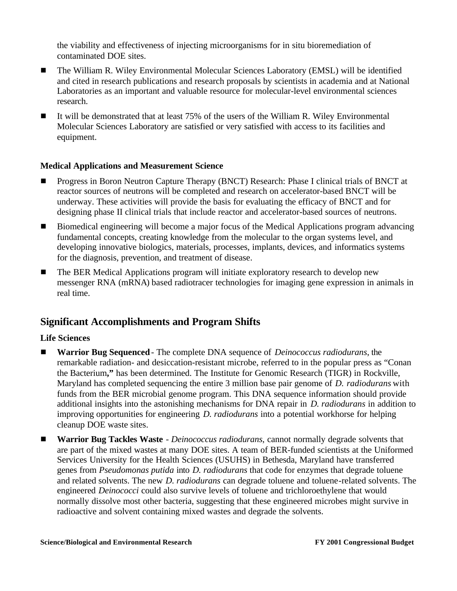the viability and effectiveness of injecting microorganisms for in situ bioremediation of contaminated DOE sites.

- **The William R. Wiley Environmental Molecular Sciences Laboratory (EMSL) will be identified** and cited in research publications and research proposals by scientists in academia and at National Laboratories as an important and valuable resource for molecular-level environmental sciences research.
- It will be demonstrated that at least 75% of the users of the William R. Wiley Environmental Molecular Sciences Laboratory are satisfied or very satisfied with access to its facilities and equipment.

#### **Medical Applications and Measurement Science**

- <sup>g</sup> Progress in Boron Neutron Capture Therapy (BNCT) Research: Phase I clinical trials of BNCT at reactor sources of neutrons will be completed and research on accelerator-based BNCT will be underway. These activities will provide the basis for evaluating the efficacy of BNCT and for designing phase II clinical trials that include reactor and accelerator-based sources of neutrons.
- Biomedical engineering will become a major focus of the Medical Applications program advancing fundamental concepts, creating knowledge from the molecular to the organ systems level, and developing innovative biologics, materials, processes, implants, devices, and informatics systems for the diagnosis, prevention, and treatment of disease.
- The BER Medical Applications program will initiate exploratory research to develop new messenger RNA (mRNA) based radiotracer technologies for imaging gene expression in animals in real time.

### **Significant Accomplishments and Program Shifts**

#### **Life Sciences**

- <sup>g</sup> **Warrior Bug Sequenced** The complete DNA sequence of *Deinococcus radiodurans*, the remarkable radiation- and desiccation-resistant microbe, referred to in the popular press as "Conan the Bacterium**,"** has been determined. The Institute for Genomic Research (TIGR) in Rockville, Maryland has completed sequencing the entire 3 million base pair genome of *D. radiodurans* with funds from the BER microbial genome program. This DNA sequence information should provide additional insights into the astonishing mechanisms for DNA repair in *D. radiodurans* in addition to improving opportunities for engineering *D. radiodurans* into a potential workhorse for helping cleanup DOE waste sites.
- <sup>g</sup> **Warrior Bug Tackles Waste** *Deinococcus radiodurans*, cannot normally degrade solvents that are part of the mixed wastes at many DOE sites. A team of BER-funded scientists at the Uniformed Services University for the Health Sciences (USUHS) in Bethesda, Maryland have transferred genes from *Pseudomonas putida* into *D. radiodurans* that code for enzymes that degrade toluene and related solvents. The new *D. radiodurans* can degrade toluene and toluene-related solvents. The engineered *Deinococci* could also survive levels of toluene and trichloroethylene that would normally dissolve most other bacteria, suggesting that these engineered microbes might survive in radioactive and solvent containing mixed wastes and degrade the solvents.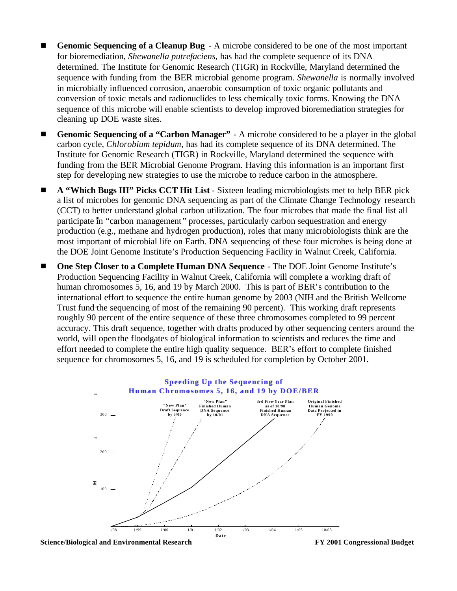- **Genomic Sequencing of a Cleanup Bug** A microbe considered to be one of the most important for bioremediation, *Shewanella putrefaciens*, has had the complete sequence of its DNA determined. The Institute for Genomic Research (TIGR) in Rockville, Maryland determined the sequence with funding from the BER microbial genome program. *Shewanella* is normally involved in microbially influenced corrosion, anaerobic consumption of toxic organic pollutants and conversion of toxic metals and radionuclides to less chemically toxic forms. Knowing the DNA sequence of this microbe will enable scientists to develop improved bioremediation strategies for cleaning up DOE waste sites.
- Genomic Sequencing of a "Carbon Manager" A microbe considered to be a player in the global carbon cycle, *Chlorobium tepidum*, has had its complete sequence of its DNA determined. The Institute for Genomic Research (TIGR) in Rockville, Maryland determined the sequence with funding from the BER Microbial Genome Program. Having this information is an important first step for developing new strategies to use the microbe to reduce carbon in the atmosphere.
- <sup>g</sup> **A "Which Bugs III" Picks CCT Hit List** Sixteen leading microbiologists met to help BER pick a list of microbes for genomic DNA sequencing as part of the Climate Change Technology research (CCT) to better understand global carbon utilization. The four microbes that made the final list all participate in "carbon management" processes, particularly carbon sequestration and energy production (e.g., methane and hydrogen production), roles that many microbiologists think are the most important of microbial life on Earth. DNA sequencing of these four microbes is being done at the DOE Joint Genome Institute's Production Sequencing Facility in Walnut Creek, California.
- **One Step Closer to a Complete Human DNA Sequence** The DOE Joint Genome Institute's Production Sequencing Facility in Walnut Creek, California will complete a working draft of human chromosomes 5, 16, and 19 by March 2000. This is part of BER's contribution to the international effort to sequence the entire human genome by 2003 (NIH and the British Wellcome Trust fund the sequencing of most of the remaining 90 percent). This working draft represents roughly 90 percent of the entire sequence of these three chromosomes completed to 99 percent accuracy. This draft sequence, together with drafts produced by other sequencing centers around the world, will open the floodgates of biological information to scientists and reduces the time and effort needed to complete the entire high quality sequence. BER's effort to complete finished sequence for chromosomes 5, 16, and 19 is scheduled for completion by October 2001. **Millions** Carbon cycle<br>
Institute for<br>
funding from<br>
step for dev<br> **A** "Which l<br>
a list of mic<br>
(CCT) to be<br>
participate find<br>
production most import<br>
most import<br> **DOE Step C**<br>
Production human chrome internationa<br>
Trust

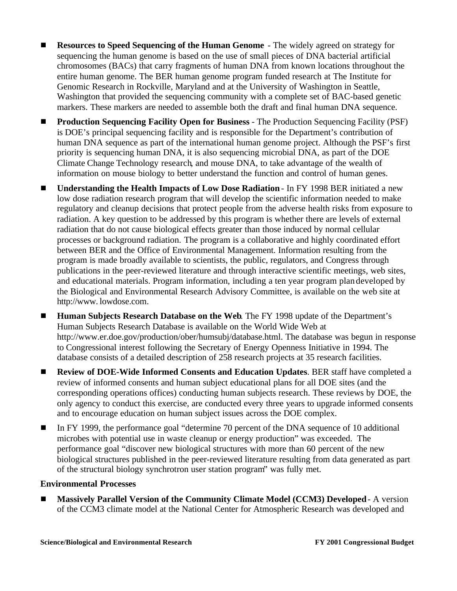- **Resources to Speed Sequencing of the Human Genome** The widely agreed on strategy for sequencing the human genome is based on the use of small pieces of DNA bacterial artificial chromosomes (BACs) that carry fragments of human DNA from known locations throughout the entire human genome. The BER human genome program funded research at The Institute for Genomic Research in Rockville, Maryland and at the University of Washington in Seattle, Washington that provided the sequencing community with a complete set of BAC-based genetic markers. These markers are needed to assemble both the draft and final human DNA sequence.
- <sup>g</sup> **Production Sequencing Facility Open for Business** The Production Sequencing Facility (PSF) is DOE's principal sequencing facility and is responsible for the Department's contribution of human DNA sequence as part of the international human genome project. Although the PSF's first priority is sequencing human DNA, it is also sequencing microbial DNA, as part of the DOE Climate Change Technology research, and mouse DNA, to take advantage of the wealth of information on mouse biology to better understand the function and control of human genes.
- <sup>g</sup> **Understanding the Health Impacts of Low Dose Radiation** In FY 1998 BER initiated a new low dose radiation research program that will develop the scientific information needed to make regulatory and cleanup decisions that protect people from the adverse health risks from exposure to radiation. A key question to be addressed by this program is whether there are levels of external radiation that do not cause biological effects greater than those induced by normal cellular processes or background radiation. The program is a collaborative and highly coordinated effort between BER and the Office of Environmental Management. Information resulting from the program is made broadly available to scientists, the public, regulators, and Congress through publications in the peer-reviewed literature and through interactive scientific meetings, web sites, and educational materials. Program information, including a ten year program plan developed by the Biological and Environmental Research Advisory Committee, is available on the web site at http://www. lowdose.com.
- Human Subjects Research Database on the Web. The FY 1998 update of the Department's Human Subjects Research Database is available on the World Wide Web at http://www.er.doe.gov/production/ober/humsubj/database.html. The database was begun in response to Congressional interest following the Secretary of Energy Openness Initiative in 1994. The database consists of a detailed description of 258 research projects at 35 research facilities.
- <sup>g</sup> **Review of DOE-Wide Informed Consents and Education Updates**. BER staff have completed a review of informed consents and human subject educational plans for all DOE sites (and the corresponding operations offices) conducting human subjects research. These reviews by DOE, the only agency to conduct this exercise, are conducted every three years to upgrade informed consents and to encourage education on human subject issues across the DOE complex.
- In FY 1999, the performance goal "determine 70 percent of the DNA sequence of 10 additional microbes with potential use in waste cleanup or energy production" was exceeded. The performance goal "discover new biological structures with more than 60 percent of the new biological structures published in the peer-reviewed literature resulting from data generated as part of the structural biology synchrotron user station program" was fully met.

#### **Environmental Processes**

<sup>g</sup> **Massively Parallel Version of the Community Climate Model (CCM3) Developed** - A version of the CCM3 climate model at the National Center for Atmospheric Research was developed and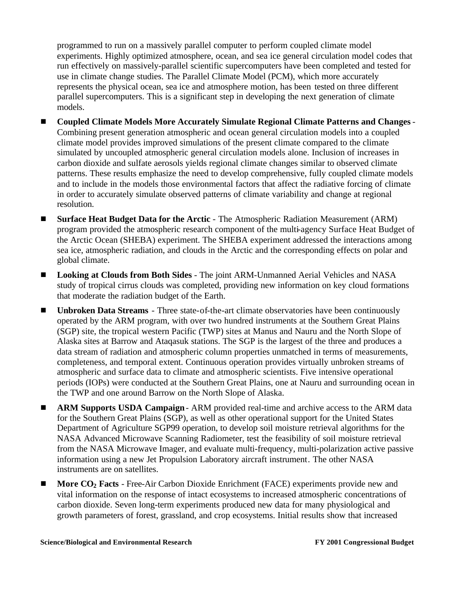programmed to run on a massively parallel computer to perform coupled climate model experiments. Highly optimized atmosphere, ocean, and sea ice general circulation model codes that run effectively on massively-parallel scientific supercomputers have been completed and tested for use in climate change studies. The Parallel Climate Model (PCM), which more accurately represents the physical ocean, sea ice and atmosphere motion, has been tested on three different parallel supercomputers. This is a significant step in developing the next generation of climate models.

- <sup>g</sup> **Coupled Climate Models More Accurately Simulate Regional Climate Patterns and Changes** Combining present generation atmospheric and ocean general circulation models into a coupled climate model provides improved simulations of the present climate compared to the climate simulated by uncoupled atmospheric general circulation models alone. Inclusion of increases in carbon dioxide and sulfate aerosols yields regional climate changes similar to observed climate patterns. These results emphasize the need to develop comprehensive, fully coupled climate models and to include in the models those environmental factors that affect the radiative forcing of climate in order to accurately simulate observed patterns of climate variability and change at regional resolution.
- **Surface Heat Budget Data for the Arctic** The Atmospheric Radiation Measurement (ARM) program provided the atmospheric research component of the multi-agency Surface Heat Budget of the Arctic Ocean (SHEBA) experiment. The SHEBA experiment addressed the interactions among sea ice, atmospheric radiation, and clouds in the Arctic and the corresponding effects on polar and global climate.
- Looking at Clouds from Both Sides The joint ARM-Unmanned Aerial Vehicles and NASA study of tropical cirrus clouds was completed, providing new information on key cloud formations that moderate the radiation budget of the Earth.
- **Unbroken Data Streams** Three state-of-the-art climate observatories have been continuously operated by the ARM program, with over two hundred instruments at the Southern Great Plains (SGP) site, the tropical western Pacific (TWP) sites at Manus and Nauru and the North Slope of Alaska sites at Barrow and Ataqasuk stations. The SGP is the largest of the three and produces a data stream of radiation and atmospheric column properties unmatched in terms of measurements, completeness, and temporal extent. Continuous operation provides virtually unbroken streams of atmospheric and surface data to climate and atmospheric scientists. Five intensive operational periods (IOPs) were conducted at the Southern Great Plains, one at Nauru and surrounding ocean in the TWP and one around Barrow on the North Slope of Alaska.
- <sup>g</sup> **ARM Supports USDA Campaign** ARM provided real-time and archive access to the ARM data for the Southern Great Plains (SGP), as well as other operational support for the United States Department of Agriculture SGP99 operation, to develop soil moisture retrieval algorithms for the NASA Advanced Microwave Scanning Radiometer, test the feasibility of soil moisture retrieval from the NASA Microwave Imager, and evaluate multi-frequency, multi-polarization active passive information using a new Jet Propulsion Laboratory aircraft instrument. The other NASA instruments are on satellites.
- More CO<sub>2</sub> Facts Free-Air Carbon Dioxide Enrichment (FACE) experiments provide new and vital information on the response of intact ecosystems to increased atmospheric concentrations of carbon dioxide. Seven long-term experiments produced new data for many physiological and growth parameters of forest, grassland, and crop ecosystems. Initial results show that increased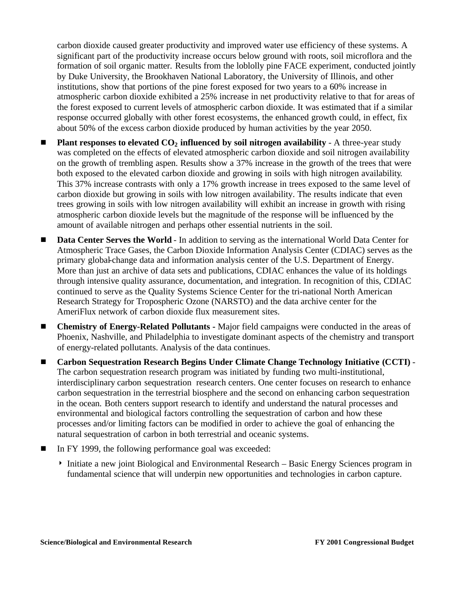carbon dioxide caused greater productivity and improved water use efficiency of these systems. A significant part of the productivity increase occurs below ground with roots, soil microflora and the formation of soil organic matter. Results from the loblolly pine FACE experiment, conducted jointly by Duke University, the Brookhaven National Laboratory, the University of Illinois, and other institutions, show that portions of the pine forest exposed for two years to a 60% increase in atmospheric carbon dioxide exhibited a 25% increase in net productivity relative to that for areas of the forest exposed to current levels of atmospheric carbon dioxide. It was estimated that if a similar response occurred globally with other forest ecosystems, the enhanced growth could, in effect, fix about 50% of the excess carbon dioxide produced by human activities by the year 2050.

- Plant responses to elevated  $CO<sub>2</sub>$  influenced by soil nitrogen availability A three-year study was completed on the effects of elevated atmospheric carbon dioxide and soil nitrogen availability on the growth of trembling aspen. Results show a 37% increase in the growth of the trees that were both exposed to the elevated carbon dioxide and growing in soils with high nitrogen availability. This 37% increase contrasts with only a 17% growth increase in trees exposed to the same level of carbon dioxide but growing in soils with low nitrogen availability. The results indicate that even trees growing in soils with low nitrogen availability will exhibit an increase in growth with rising atmospheric carbon dioxide levels but the magnitude of the response will be influenced by the amount of available nitrogen and perhaps other essential nutrients in the soil.
- **Data Center Serves the World** In addition to serving as the international World Data Center for Atmospheric Trace Gases, the Carbon Dioxide Information Analysis Center (CDIAC) serves as the primary global-change data and information analysis center of the U.S. Department of Energy. More than just an archive of data sets and publications, CDIAC enhances the value of its holdings through intensive quality assurance, documentation, and integration. In recognition of this, CDIAC continued to serve as the Quality Systems Science Center for the tri-national North American Research Strategy for Tropospheric Ozone (NARSTO) and the data archive center for the AmeriFlux network of carbon dioxide flux measurement sites.
- <sup>g</sup> **Chemistry of Energy-Related Pollutants -** Major field campaigns were conducted in the areas of Phoenix, Nashville, and Philadelphia to investigate dominant aspects of the chemistry and transport of energy-related pollutants. Analysis of the data continues.
- Carbon Sequestration Research Begins Under Climate Change Technology Initiative (CCTI) -The carbon sequestration research program was initiated by funding two multi-institutional, interdisciplinary carbon sequestration research centers. One center focuses on research to enhance carbon sequestration in the terrestrial biosphere and the second on enhancing carbon sequestration in the ocean. Both centers support research to identify and understand the natural processes and environmental and biological factors controlling the sequestration of carbon and how these processes and/or limiting factors can be modified in order to achieve the goal of enhancing the natural sequestration of carbon in both terrestrial and oceanic systems.
- In FY 1999, the following performance goal was exceeded:
	- 4 Initiate a new joint Biological and Environmental Research Basic Energy Sciences program in fundamental science that will underpin new opportunities and technologies in carbon capture.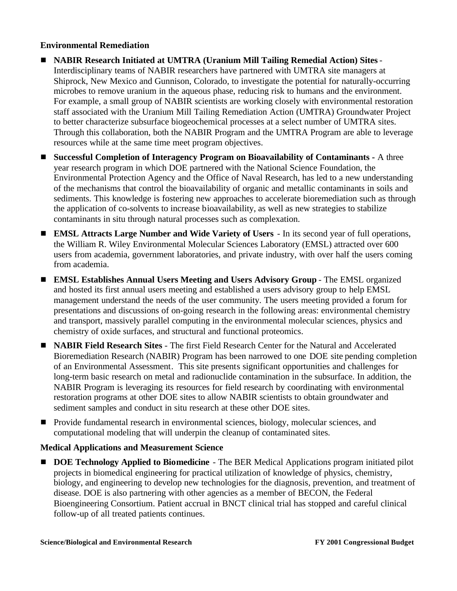#### **Environmental Remediation**

- **EXABIR Research Initiated at UMTRA (Uranium Mill Tailing Remedial Action) Sites** Interdisciplinary teams of NABIR researchers have partnered with UMTRA site managers at Shiprock, New Mexico and Gunnison, Colorado, to investigate the potential for naturally-occurring microbes to remove uranium in the aqueous phase, reducing risk to humans and the environment. For example, a small group of NABIR scientists are working closely with environmental restoration staff associated with the Uranium Mill Tailing Remediation Action (UMTRA) Groundwater Project to better characterize subsurface biogeochemical processes at a select number of UMTRA sites. Through this collaboration, both the NABIR Program and the UMTRA Program are able to leverage resources while at the same time meet program objectives.
- <sup>g</sup> **Successful Completion of Interagency Program on Bioavailability of Contaminants -** A three year research program in which DOE partnered with the National Science Foundation, the Environmental Protection Agency and the Office of Naval Research, has led to a new understanding of the mechanisms that control the bioavailability of organic and metallic contaminants in soils and sediments. This knowledge is fostering new approaches to accelerate bioremediation such as through the application of co-solvents to increase bioavailability, as well as new strategies to stabilize contaminants in situ through natural processes such as complexation.
- **EMSL Attracts Large Number and Wide Variety of Users** In its second year of full operations, the William R. Wiley Environmental Molecular Sciences Laboratory (EMSL) attracted over 600 users from academia, government laboratories, and private industry, with over half the users coming from academia.
- <sup>g</sup> **EMSL Establishes Annual Users Meeting and Users Advisory Group** The EMSL organized and hosted its first annual users meeting and established a users advisory group to help EMSL management understand the needs of the user community. The users meeting provided a forum for presentations and discussions of on-going research in the following areas: environmental chemistry and transport, massively parallel computing in the environmental molecular sciences, physics and chemistry of oxide surfaces, and structural and functional proteomics.
- **ID NABIR Field Research Sites** The first Field Research Center for the Natural and Accelerated Bioremediation Research (NABIR) Program has been narrowed to one DOE site pending completion of an Environmental Assessment. This site presents significant opportunities and challenges for long-term basic research on metal and radionuclide contamination in the subsurface. In addition, the NABIR Program is leveraging its resources for field research by coordinating with environmental restoration programs at other DOE sites to allow NABIR scientists to obtain groundwater and sediment samples and conduct in situ research at these other DOE sites.
- Provide fundamental research in environmental sciences, biology, molecular sciences, and computational modeling that will underpin the cleanup of contaminated sites.

#### **Medical Applications and Measurement Science**

**DOE Technology Applied to Biomedicine** - The BER Medical Applications program initiated pilot projects in biomedical engineering for practical utilization of knowledge of physics, chemistry, biology, and engineering to develop new technologies for the diagnosis, prevention, and treatment of disease. DOE is also partnering with other agencies as a member of BECON, the Federal Bioengineering Consortium. Patient accrual in BNCT clinical trial has stopped and careful clinical follow-up of all treated patients continues.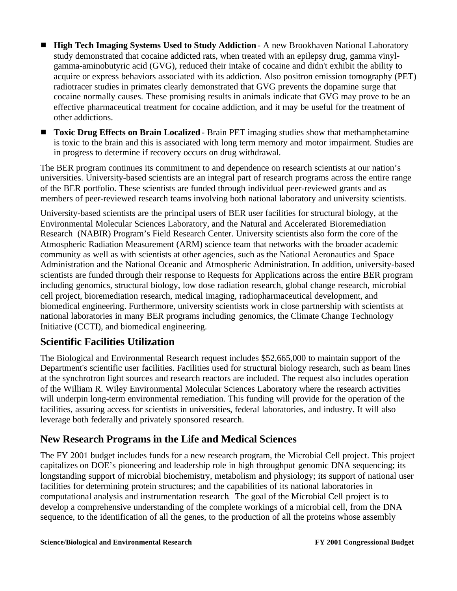- **High Tech Imaging Systems Used to Study Addiction** A new Brookhaven National Laboratory study demonstrated that cocaine addicted rats, when treated with an epilepsy drug, gamma vinylgamma-aminobutyric acid (GVG), reduced their intake of cocaine and didn't exhibit the ability to acquire or express behaviors associated with its addiction. Also positron emission tomography (PET) radiotracer studies in primates clearly demonstrated that GVG prevents the dopamine surge that cocaine normally causes. These promising results in animals indicate that GVG may prove to be an effective pharmaceutical treatment for cocaine addiction, and it may be useful for the treatment of other addictions.
- **Toxic Drug Effects on Brain Localized** Brain PET imaging studies show that methamphetamine is toxic to the brain and this is associated with long term memory and motor impairment. Studies are in progress to determine if recovery occurs on drug withdrawal.

The BER program continues its commitment to and dependence on research scientists at our nation's universities. University-based scientists are an integral part of research programs across the entire range of the BER portfolio. These scientists are funded through individual peer-reviewed grants and as members of peer-reviewed research teams involving both national laboratory and university scientists.

University-based scientists are the principal users of BER user facilities for structural biology, at the Environmental Molecular Sciences Laboratory, and the Natural and Accelerated Bioremediation Research (NABIR) Program's Field Research Center. University scientists also form the core of the Atmospheric Radiation Measurement (ARM) science team that networks with the broader academic community as well as with scientists at other agencies, such as the National Aeronautics and Space Administration and the National Oceanic and Atmospheric Administration. In addition, university-based scientists are funded through their response to Requests for Applications across the entire BER program including genomics, structural biology, low dose radiation research, global change research, microbial cell project, bioremediation research, medical imaging, radiopharmaceutical development, and biomedical engineering. Furthermore, university scientists work in close partnership with scientists at national laboratories in many BER programs including genomics, the Climate Change Technology Initiative (CCTI), and biomedical engineering.

## **Scientific Facilities Utilization**

The Biological and Environmental Research request includes \$52,665,000 to maintain support of the Department's scientific user facilities. Facilities used for structural biology research, such as beam lines at the synchrotron light sources and research reactors are included. The request also includes operation of the William R. Wiley Environmental Molecular Sciences Laboratory where the research activities will underpin long-term environmental remediation. This funding will provide for the operation of the facilities, assuring access for scientists in universities, federal laboratories, and industry. It will also leverage both federally and privately sponsored research.

### **New Research Programs in the Life and Medical Sciences**

The FY 2001 budget includes funds for a new research program, the Microbial Cell project. This project capitalizes on DOE's pioneering and leadership role in high throughput genomic DNA sequencing; its longstanding support of microbial biochemistry, metabolism and physiology; its support of national user facilities for determining protein structures; and the capabilities of its national laboratories in computational analysis and instrumentation research. The goal of the Microbial Cell project is to develop a comprehensive understanding of the complete workings of a microbial cell, from the DNA sequence, to the identification of all the genes, to the production of all the proteins whose assembly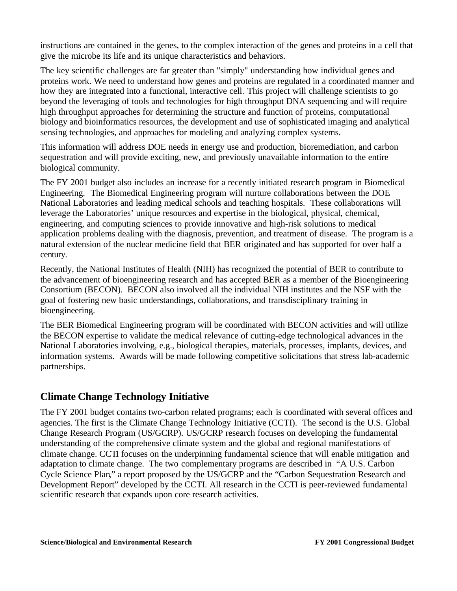instructions are contained in the genes, to the complex interaction of the genes and proteins in a cell that give the microbe its life and its unique characteristics and behaviors.

The key scientific challenges are far greater than "simply" understanding how individual genes and proteins work. We need to understand how genes and proteins are regulated in a coordinated manner and how they are integrated into a functional, interactive cell. This project will challenge scientists to go beyond the leveraging of tools and technologies for high throughput DNA sequencing and will require high throughput approaches for determining the structure and function of proteins, computational biology and bioinformatics resources, the development and use of sophisticated imaging and analytical sensing technologies, and approaches for modeling and analyzing complex systems.

This information will address DOE needs in energy use and production, bioremediation, and carbon sequestration and will provide exciting, new, and previously unavailable information to the entire biological community.

The FY 2001 budget also includes an increase for a recently initiated research program in Biomedical Engineering. The Biomedical Engineering program will nurture collaborations between the DOE National Laboratories and leading medical schools and teaching hospitals. These collaborations will leverage the Laboratories' unique resources and expertise in the biological, physical, chemical, engineering, and computing sciences to provide innovative and high-risk solutions to medical application problems dealing with the diagnosis, prevention, and treatment of disease. The program is a natural extension of the nuclear medicine field that BER originated and has supported for over half a century.

Recently, the National Institutes of Health (NIH) has recognized the potential of BER to contribute to the advancement of bioengineering research and has accepted BER as a member of the Bioengineering Consortium (BECON). BECON also involved all the individual NIH institutes and the NSF with the goal of fostering new basic understandings, collaborations, and transdisciplinary training in bioengineering.

The BER Biomedical Engineering program will be coordinated with BECON activities and will utilize the BECON expertise to validate the medical relevance of cutting-edge technological advances in the National Laboratories involving, e.g., biological therapies, materials, processes, implants, devices, and information systems. Awards will be made following competitive solicitations that stress lab-academic partnerships.

### **Climate Change Technology Initiative**

The FY 2001 budget contains two-carbon related programs; each is coordinated with several offices and agencies. The first is the Climate Change Technology Initiative (CCTI). The second is the U.S. Global Change Research Program (US/GCRP). US/GCRP research focuses on developing the fundamental understanding of the comprehensive climate system and the global and regional manifestations of climate change. CCTI focuses on the underpinning fundamental science that will enable mitigation and adaptation to climate change. The two complementary programs are described in "A U.S. Carbon Cycle Science Plan," a report proposed by the US/GCRP and the "Carbon Sequestration Research and Development Report" developed by the CCTI. All research in the CCTI is peer-reviewed fundamental scientific research that expands upon core research activities.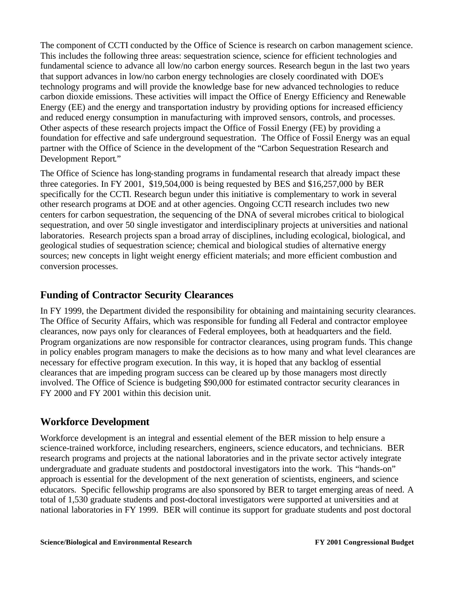The component of CCTI conducted by the Office of Science is research on carbon management science. This includes the following three areas: sequestration science, science for efficient technologies and fundamental science to advance all low/no carbon energy sources. Research begun in the last two years that support advances in low/no carbon energy technologies are closely coordinated with DOE's technology programs and will provide the knowledge base for new advanced technologies to reduce carbon dioxide emissions. These activities will impact the Office of Energy Efficiency and Renewable Energy (EE) and the energy and transportation industry by providing options for increased efficiency and reduced energy consumption in manufacturing with improved sensors, controls, and processes. Other aspects of these research projects impact the Office of Fossil Energy (FE) by providing a foundation for effective and safe underground sequestration. The Office of Fossil Energy was an equal partner with the Office of Science in the development of the "Carbon Sequestration Research and Development Report."

The Office of Science has long-standing programs in fundamental research that already impact these three categories. In FY 2001, \$19,504,000 is being requested by BES and \$16,257,000 by BER specifically for the CCTI. Research begun under this initiative is complementary to work in several other research programs at DOE and at other agencies. Ongoing CCTI research includes two new centers for carbon sequestration, the sequencing of the DNA of several microbes critical to biological sequestration, and over 50 single investigator and interdisciplinary projects at universities and national laboratories. Research projects span a broad array of disciplines, including ecological, biological, and geological studies of sequestration science; chemical and biological studies of alternative energy sources; new concepts in light weight energy efficient materials; and more efficient combustion and conversion processes.

## **Funding of Contractor Security Clearances**

In FY 1999, the Department divided the responsibility for obtaining and maintaining security clearances. The Office of Security Affairs, which was responsible for funding all Federal and contractor employee clearances, now pays only for clearances of Federal employees, both at headquarters and the field. Program organizations are now responsible for contractor clearances, using program funds. This change in policy enables program managers to make the decisions as to how many and what level clearances are necessary for effective program execution. In this way, it is hoped that any backlog of essential clearances that are impeding program success can be cleared up by those managers most directly involved. The Office of Science is budgeting \$90,000 for estimated contractor security clearances in FY 2000 and FY 2001 within this decision unit.

### **Workforce Development**

Workforce development is an integral and essential element of the BER mission to help ensure a science-trained workforce, including researchers, engineers, science educators, and technicians. BER research programs and projects at the national laboratories and in the private sector actively integrate undergraduate and graduate students and postdoctoral investigators into the work. This "hands-on" approach is essential for the development of the next generation of scientists, engineers, and science educators. Specific fellowship programs are also sponsored by BER to target emerging areas of need. A total of 1,530 graduate students and post-doctoral investigators were supported at universities and at national laboratories in FY 1999. BER will continue its support for graduate students and post doctoral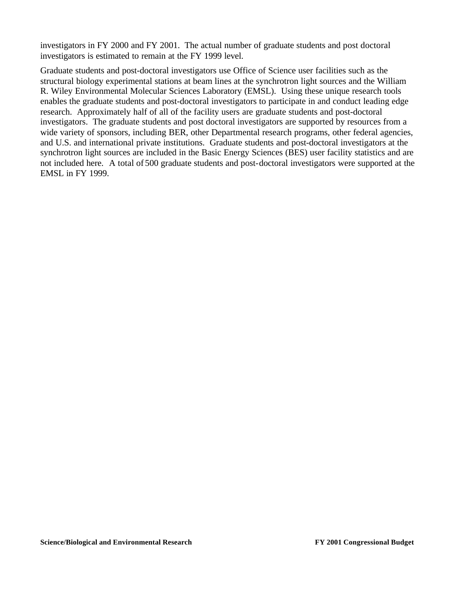investigators in FY 2000 and FY 2001. The actual number of graduate students and post doctoral investigators is estimated to remain at the FY 1999 level.

Graduate students and post-doctoral investigators use Office of Science user facilities such as the structural biology experimental stations at beam lines at the synchrotron light sources and the William R. Wiley Environmental Molecular Sciences Laboratory (EMSL). Using these unique research tools enables the graduate students and post-doctoral investigators to participate in and conduct leading edge research. Approximately half of all of the facility users are graduate students and post-doctoral investigators. The graduate students and post doctoral investigators are supported by resources from a wide variety of sponsors, including BER, other Departmental research programs, other federal agencies, and U.S. and international private institutions. Graduate students and post-doctoral investigators at the synchrotron light sources are included in the Basic Energy Sciences (BES) user facility statistics and are not included here. A total of 500 graduate students and post-doctoral investigators were supported at the EMSL in FY 1999.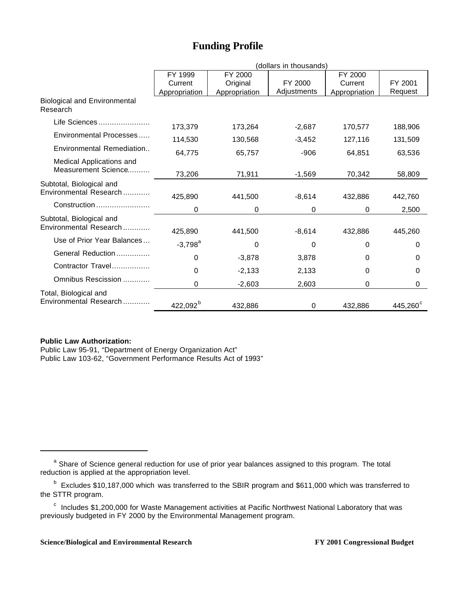## **Funding Profile**

|                                                    | (dollars in thousands) |               |             |               |                   |  |
|----------------------------------------------------|------------------------|---------------|-------------|---------------|-------------------|--|
|                                                    | FY 1999                | FY 2000       |             | FY 2000       |                   |  |
|                                                    | Current                | Original      | FY 2000     | Current       | FY 2001           |  |
|                                                    | Appropriation          | Appropriation | Adjustments | Appropriation | Request           |  |
| <b>Biological and Environmental</b><br>Research    |                        |               |             |               |                   |  |
| Life Sciences                                      | 173,379                | 173,264       | $-2,687$    | 170,577       | 188,906           |  |
| Environmental Processes                            | 114,530                | 130,568       | $-3,452$    | 127,116       | 131,509           |  |
| Environmental Remediation                          | 64,775                 | 65,757        | -906        | 64,851        | 63,536            |  |
| Medical Applications and<br>Measurement Science    | 73,206                 | 71,911        | $-1,569$    | 70,342        | 58,809            |  |
| Subtotal, Biological and<br>Environmental Research | 425,890                | 441,500       | $-8,614$    | 432,886       | 442,760           |  |
| Construction                                       | 0                      | 0             | 0           | $\Omega$      | 2,500             |  |
| Subtotal, Biological and<br>Environmental Research | 425,890                | 441,500       | $-8,614$    | 432,886       | 445,260           |  |
| Use of Prior Year Balances                         | $-3,798^a$             | 0             | 0           | $\Omega$      | 0                 |  |
| General Reduction                                  | 0                      | $-3,878$      | 3,878       | 0             | 0                 |  |
| Contractor Travel                                  | $\Omega$               | $-2,133$      | 2,133       | $\Omega$      | 0                 |  |
| Omnibus Rescission                                 | $\Omega$               | $-2,603$      | 2,603       | 0             | 0                 |  |
| Total, Biological and<br>Environmental Research    | 422,092 <sup>b</sup>   | 432,886       | $\Omega$    | 432,886       | $445,260^{\circ}$ |  |

#### **Public Law Authorization:**

 $\overline{a}$ 

Public Law 95-91, "Department of Energy Organization Act" Public Law 103-62, "Government Performance Results Act of 1993"

<sup>&</sup>lt;sup>a</sup> Share of Science general reduction for use of prior year balances assigned to this program. The total reduction is applied at the appropriation level.

<sup>&</sup>lt;sup>b</sup> Excludes \$10,187,000 which was transferred to the SBIR program and \$611,000 which was transferred to the STTR program.

 $\textdegree$  Includes \$1,200,000 for Waste Management activities at Pacific Northwest National Laboratory that was previously budgeted in FY 2000 by the Environmental Management program.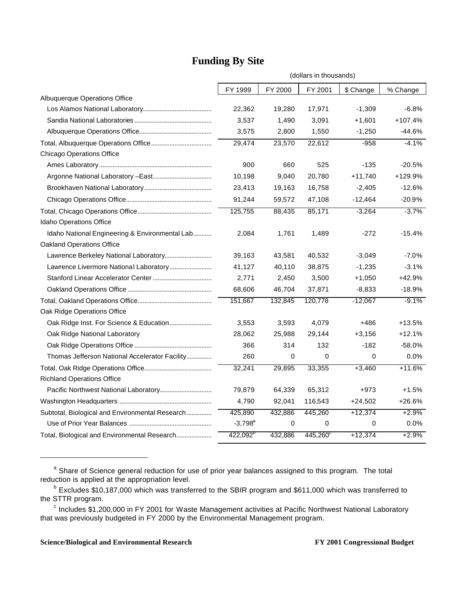|                                                 | (dollars in thousands) |         |                   |           |           |
|-------------------------------------------------|------------------------|---------|-------------------|-----------|-----------|
|                                                 | FY 1999                | FY 2000 | FY 2001           | \$ Change | % Change  |
| Albuquerque Operations Office                   |                        |         |                   |           |           |
|                                                 | 22,362                 | 19,280  | 17,971            | $-1,309$  | $-6.8%$   |
|                                                 | 3,537                  | 1,490   | 3,091             | $+1,601$  | $+107.4%$ |
|                                                 | 3,575                  | 2,800   | 1,550             | $-1,250$  | -44.6%    |
|                                                 | 29,474                 | 23,570  | 22,612            | $-958$    | $-4.1%$   |
| <b>Chicago Operations Office</b>                |                        |         |                   |           |           |
|                                                 | 900                    | 660     | 525               | $-135$    | $-20.5%$  |
|                                                 | 10,198                 | 9,040   | 20,780            | $+11,740$ | +129.9%   |
|                                                 | 23,413                 | 19,163  | 16,758            | $-2,405$  | $-12.6%$  |
|                                                 | 91,244                 | 59,572  | 47,108            | $-12,464$ | $-20.9%$  |
|                                                 | 125,755                | 88,435  | 85,171            | $-3,264$  | $-3.7%$   |
| Idaho Operations Office                         |                        |         |                   |           |           |
| Idaho National Engineering & Environmental Lab  | 2,084                  | 1,761   | 1,489             | $-272$    | $-15.4%$  |
| <b>Oakland Operations Office</b>                |                        |         |                   |           |           |
| Lawrence Berkeley National Laboratory           | 39,163                 | 43,581  | 40,532            | $-3,049$  | $-7.0%$   |
| Lawrence Livermore National Laboratory          | 41,127                 | 40,110  | 38,875            | $-1,235$  | $-3.1%$   |
|                                                 | 2,771                  | 2,450   | 3,500             | $+1,050$  | +42.9%    |
|                                                 | 68,606                 | 46,704  | 37,871            | $-8,833$  | $-18.9%$  |
|                                                 | 151,667                | 132,845 | 120,778           | $-12,067$ | $-9.1%$   |
| Oak Ridge Operations Office                     |                        |         |                   |           |           |
| Oak Ridge Inst. For Science & Education         | 3,553                  | 3,593   | 4,079             | +486      | $+13.5%$  |
| Oak Ridge National Laboratory                   | 28,062                 | 25,988  | 29,144            | $+3,156$  | $+12.1%$  |
|                                                 | 366                    | 314     | 132               | $-182$    | $-58.0%$  |
| Thomas Jefferson National Accelerator Facility  | 260                    | 0       | 0                 | 0         | 0.0%      |
|                                                 | 32,241                 | 29,895  | 33,355            | $+3,460$  | $+11.6%$  |
| <b>Richland Operations Office</b>               |                        |         |                   |           |           |
|                                                 | 79,879                 | 64,339  | 65,312            | +973      | $+1.5%$   |
|                                                 | 4,790                  | 92,041  | 116,543           | $+24,502$ | $+26.6%$  |
| Subtotal, Biological and Environmental Research | 425,890                | 432,886 | 445,260           | $+12,374$ | $+2.9%$   |
|                                                 | $-3,798^a$             | 0       | 0                 | 0         | $0.0\%$   |
| Total, Biological and Environmental Research    | $422,092^{\circ}$      | 432,886 | $445,260^{\circ}$ | $+12,374$ | $+2.9%$   |

## **Funding By Site**

<sup>a</sup> Share of Science general reduction for use of prior year balances assigned to this program. The total reduction is applied at the appropriation level.

<sup>&</sup>lt;sup>b</sup> Excludes \$10,187,000 which was transferred to the SBIR program and \$611,000 which was transferred to the STTR program.

<sup>&</sup>lt;sup>c</sup> Includes \$1,200,000 in FY 2001 for Waste Management activities at Pacific Northwest National Laboratory that was previously budgeted in FY 2000 by the Environmental Management program.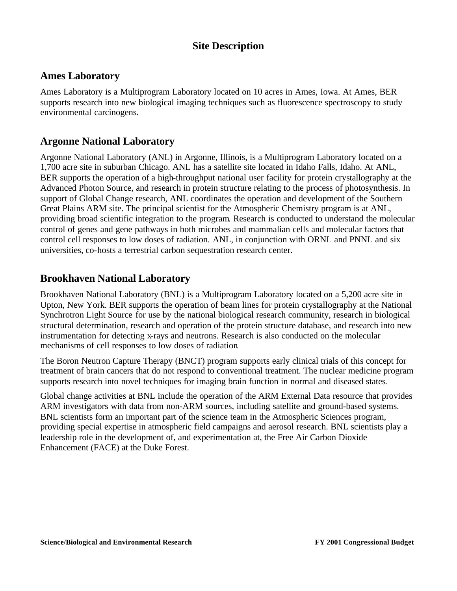## **Site Description**

### **Ames Laboratory**

Ames Laboratory is a Multiprogram Laboratory located on 10 acres in Ames, Iowa. At Ames, BER supports research into new biological imaging techniques such as fluorescence spectroscopy to study environmental carcinogens.

### **Argonne National Laboratory**

Argonne National Laboratory (ANL) in Argonne, Illinois, is a Multiprogram Laboratory located on a 1,700 acre site in suburban Chicago. ANL has a satellite site located in Idaho Falls, Idaho. At ANL, BER supports the operation of a high-throughput national user facility for protein crystallography at the Advanced Photon Source, and research in protein structure relating to the process of photosynthesis. In support of Global Change research, ANL coordinates the operation and development of the Southern Great Plains ARM site. The principal scientist for the Atmospheric Chemistry program is at ANL, providing broad scientific integration to the program. Research is conducted to understand the molecular control of genes and gene pathways in both microbes and mammalian cells and molecular factors that control cell responses to low doses of radiation. ANL, in conjunction with ORNL and PNNL and six universities, co-hosts a terrestrial carbon sequestration research center.

### **Brookhaven National Laboratory**

Brookhaven National Laboratory (BNL) is a Multiprogram Laboratory located on a 5,200 acre site in Upton, New York. BER supports the operation of beam lines for protein crystallography at the National Synchrotron Light Source for use by the national biological research community, research in biological structural determination, research and operation of the protein structure database, and research into new instrumentation for detecting x-rays and neutrons. Research is also conducted on the molecular mechanisms of cell responses to low doses of radiation.

The Boron Neutron Capture Therapy (BNCT) program supports early clinical trials of this concept for treatment of brain cancers that do not respond to conventional treatment. The nuclear medicine program supports research into novel techniques for imaging brain function in normal and diseased states.

Global change activities at BNL include the operation of the ARM External Data resource that provides ARM investigators with data from non-ARM sources, including satellite and ground-based systems. BNL scientists form an important part of the science team in the Atmospheric Sciences program, providing special expertise in atmospheric field campaigns and aerosol research. BNL scientists play a leadership role in the development of, and experimentation at, the Free Air Carbon Dioxide Enhancement (FACE) at the Duke Forest.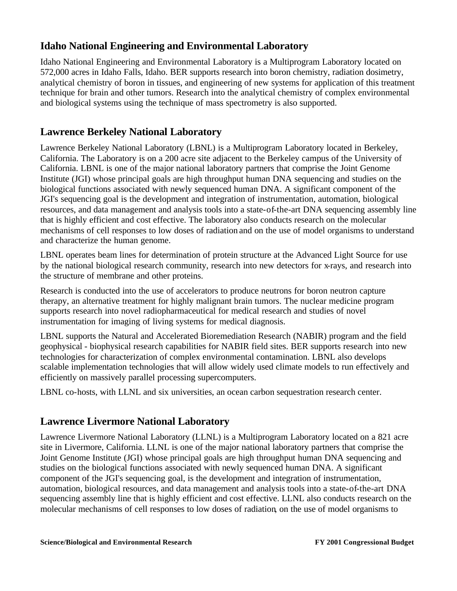## **Idaho National Engineering and Environmental Laboratory**

Idaho National Engineering and Environmental Laboratory is a Multiprogram Laboratory located on 572,000 acres in Idaho Falls, Idaho. BER supports research into boron chemistry, radiation dosimetry, analytical chemistry of boron in tissues, and engineering of new systems for application of this treatment technique for brain and other tumors. Research into the analytical chemistry of complex environmental and biological systems using the technique of mass spectrometry is also supported.

## **Lawrence Berkeley National Laboratory**

Lawrence Berkeley National Laboratory (LBNL) is a Multiprogram Laboratory located in Berkeley, California. The Laboratory is on a 200 acre site adjacent to the Berkeley campus of the University of California. LBNL is one of the major national laboratory partners that comprise the Joint Genome Institute (JGI) whose principal goals are high throughput human DNA sequencing and studies on the biological functions associated with newly sequenced human DNA. A significant component of the JGI's sequencing goal is the development and integration of instrumentation, automation, biological resources, and data management and analysis tools into a state-of-the-art DNA sequencing assembly line that is highly efficient and cost effective. The laboratory also conducts research on the molecular mechanisms of cell responses to low doses of radiation and on the use of model organisms to understand and characterize the human genome.

LBNL operates beam lines for determination of protein structure at the Advanced Light Source for use by the national biological research community, research into new detectors for x-rays, and research into the structure of membrane and other proteins.

Research is conducted into the use of accelerators to produce neutrons for boron neutron capture therapy, an alternative treatment for highly malignant brain tumors. The nuclear medicine program supports research into novel radiopharmaceutical for medical research and studies of novel instrumentation for imaging of living systems for medical diagnosis.

LBNL supports the Natural and Accelerated Bioremediation Research (NABIR) program and the field geophysical - biophysical research capabilities for NABIR field sites. BER supports research into new technologies for characterization of complex environmental contamination. LBNL also develops scalable implementation technologies that will allow widely used climate models to run effectively and efficiently on massively parallel processing supercomputers.

LBNL co-hosts, with LLNL and six universities, an ocean carbon sequestration research center.

### **Lawrence Livermore National Laboratory**

Lawrence Livermore National Laboratory (LLNL) is a Multiprogram Laboratory located on a 821 acre site in Livermore, California. LLNL is one of the major national laboratory partners that comprise the Joint Genome Institute (JGI) whose principal goals are high throughput human DNA sequencing and studies on the biological functions associated with newly sequenced human DNA. A significant component of the JGI's sequencing goal, is the development and integration of instrumentation, automation, biological resources, and data management and analysis tools into a state-of-the-art DNA sequencing assembly line that is highly efficient and cost effective. LLNL also conducts research on the molecular mechanisms of cell responses to low doses of radiation, on the use of model organisms to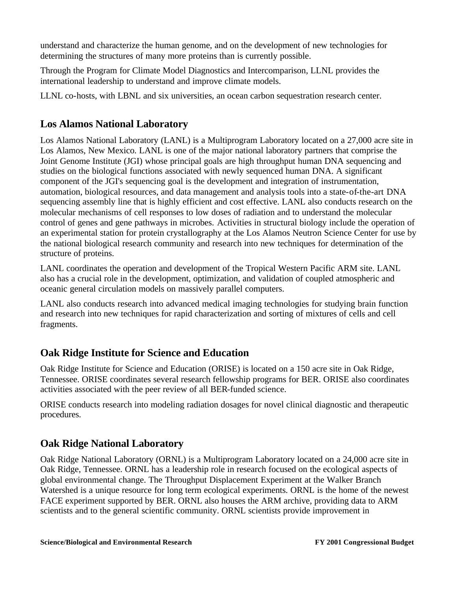understand and characterize the human genome, and on the development of new technologies for determining the structures of many more proteins than is currently possible.

Through the Program for Climate Model Diagnostics and Intercomparison, LLNL provides the international leadership to understand and improve climate models.

LLNL co-hosts, with LBNL and six universities, an ocean carbon sequestration research center.

## **Los Alamos National Laboratory**

Los Alamos National Laboratory (LANL) is a Multiprogram Laboratory located on a 27,000 acre site in Los Alamos, New Mexico. LANL is one of the major national laboratory partners that comprise the Joint Genome Institute (JGI) whose principal goals are high throughput human DNA sequencing and studies on the biological functions associated with newly sequenced human DNA. A significant component of the JGI's sequencing goal is the development and integration of instrumentation, automation, biological resources, and data management and analysis tools into a state-of-the-art DNA sequencing assembly line that is highly efficient and cost effective. LANL also conducts research on the molecular mechanisms of cell responses to low doses of radiation and to understand the molecular control of genes and gene pathways in microbes. Activities in structural biology include the operation of an experimental station for protein crystallography at the Los Alamos Neutron Science Center for use by the national biological research community and research into new techniques for determination of the structure of proteins.

LANL coordinates the operation and development of the Tropical Western Pacific ARM site. LANL also has a crucial role in the development, optimization, and validation of coupled atmospheric and oceanic general circulation models on massively parallel computers.

LANL also conducts research into advanced medical imaging technologies for studying brain function and research into new techniques for rapid characterization and sorting of mixtures of cells and cell fragments.

## **Oak Ridge Institute for Science and Education**

Oak Ridge Institute for Science and Education (ORISE) is located on a 150 acre site in Oak Ridge, Tennessee. ORISE coordinates several research fellowship programs for BER. ORISE also coordinates activities associated with the peer review of all BER-funded science.

ORISE conducts research into modeling radiation dosages for novel clinical diagnostic and therapeutic procedures.

## **Oak Ridge National Laboratory**

Oak Ridge National Laboratory (ORNL) is a Multiprogram Laboratory located on a 24,000 acre site in Oak Ridge, Tennessee. ORNL has a leadership role in research focused on the ecological aspects of global environmental change. The Throughput Displacement Experiment at the Walker Branch Watershed is a unique resource for long term ecological experiments. ORNL is the home of the newest FACE experiment supported by BER. ORNL also houses the ARM archive, providing data to ARM scientists and to the general scientific community. ORNL scientists provide improvement in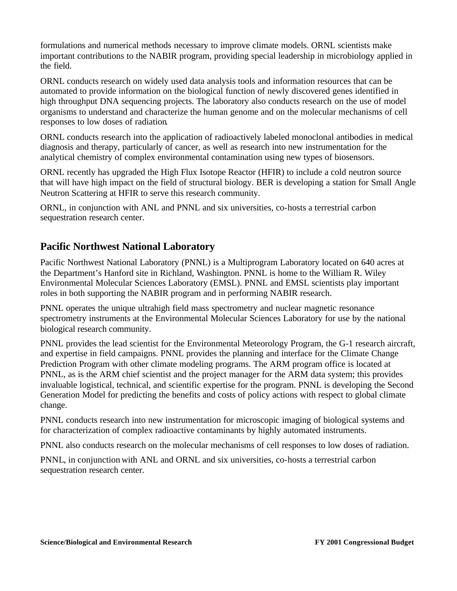formulations and numerical methods necessary to improve climate models. ORNL scientists make important contributions to the NABIR program, providing special leadership in microbiology applied in the field.

ORNL conducts research on widely used data analysis tools and information resources that can be automated to provide information on the biological function of newly discovered genes identified in high throughput DNA sequencing projects. The laboratory also conducts research on the use of model organisms to understand and characterize the human genome and on the molecular mechanisms of cell responses to low doses of radiation.

ORNL conducts research into the application of radioactively labeled monoclonal antibodies in medical diagnosis and therapy, particularly of cancer, as well as research into new instrumentation for the analytical chemistry of complex environmental contamination using new types of biosensors.

ORNL recently has upgraded the High Flux Isotope Reactor (HFIR) to include a cold neutron source that will have high impact on the field of structural biology. BER is developing a station for Small Angle Neutron Scattering at HFIR to serve this research community.

ORNL, in conjunction with ANL and PNNL and six universities, co-hosts a terrestrial carbon sequestration research center.

## **Pacific Northwest National Laboratory**

Pacific Northwest National Laboratory (PNNL) is a Multiprogram Laboratory located on 640 acres at the Department's Hanford site in Richland, Washington. PNNL is home to the William R. Wiley Environmental Molecular Sciences Laboratory (EMSL). PNNL and EMSL scientists play important roles in both supporting the NABIR program and in performing NABIR research.

PNNL operates the unique ultrahigh field mass spectrometry and nuclear magnetic resonance spectrometry instruments at the Environmental Molecular Sciences Laboratory for use by the national biological research community.

PNNL provides the lead scientist for the Environmental Meteorology Program, the G-1 research aircraft, and expertise in field campaigns. PNNL provides the planning and interface for the Climate Change Prediction Program with other climate modeling programs. The ARM program office is located at PNNL, as is the ARM chief scientist and the project manager for the ARM data system; this provides invaluable logistical, technical, and scientific expertise for the program. PNNL is developing the Second Generation Model for predicting the benefits and costs of policy actions with respect to global climate change.

PNNL conducts research into new instrumentation for microscopic imaging of biological systems and for characterization of complex radioactive contaminants by highly automated instruments.

PNNL also conducts research on the molecular mechanisms of cell responses to low doses of radiation.

PNNL, in conjunction with ANL and ORNL and six universities, co-hosts a terrestrial carbon sequestration research center.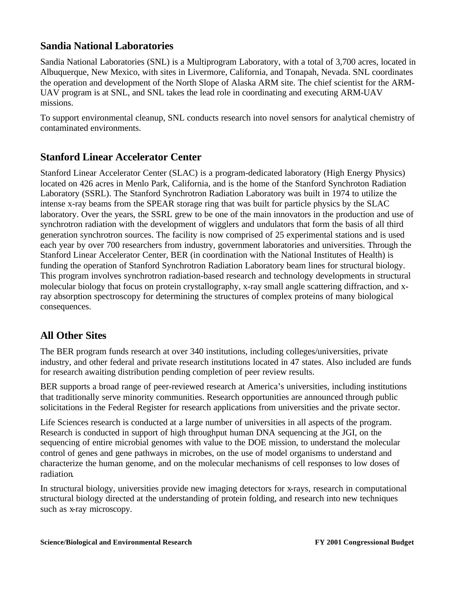## **Sandia National Laboratories**

Sandia National Laboratories (SNL) is a Multiprogram Laboratory, with a total of 3,700 acres, located in Albuquerque, New Mexico, with sites in Livermore, California, and Tonapah, Nevada. SNL coordinates the operation and development of the North Slope of Alaska ARM site. The chief scientist for the ARM-UAV program is at SNL, and SNL takes the lead role in coordinating and executing ARM-UAV missions.

To support environmental cleanup, SNL conducts research into novel sensors for analytical chemistry of contaminated environments.

## **Stanford Linear Accelerator Center**

Stanford Linear Accelerator Center (SLAC) is a program-dedicated laboratory (High Energy Physics) located on 426 acres in Menlo Park, California, and is the home of the Stanford Synchroton Radiation Laboratory (SSRL). The Stanford Synchrotron Radiation Laboratory was built in 1974 to utilize the intense x-ray beams from the SPEAR storage ring that was built for particle physics by the SLAC laboratory. Over the years, the SSRL grew to be one of the main innovators in the production and use of synchrotron radiation with the development of wigglers and undulators that form the basis of all third generation synchrotron sources. The facility is now comprised of 25 experimental stations and is used each year by over 700 researchers from industry, government laboratories and universities. Through the Stanford Linear Accelerator Center, BER (in coordination with the National Institutes of Health) is funding the operation of Stanford Synchrotron Radiation Laboratory beam lines for structural biology. This program involves synchrotron radiation-based research and technology developments in structural molecular biology that focus on protein crystallography, x-ray small angle scattering diffraction, and xray absorption spectroscopy for determining the structures of complex proteins of many biological consequences.

## **All Other Sites**

The BER program funds research at over 340 institutions, including colleges/universities, private industry, and other federal and private research institutions located in 47 states. Also included are funds for research awaiting distribution pending completion of peer review results.

BER supports a broad range of peer-reviewed research at America's universities, including institutions that traditionally serve minority communities. Research opportunities are announced through public solicitations in the Federal Register for research applications from universities and the private sector.

Life Sciences research is conducted at a large number of universities in all aspects of the program. Research is conducted in support of high throughput human DNA sequencing at the JGI, on the sequencing of entire microbial genomes with value to the DOE mission, to understand the molecular control of genes and gene pathways in microbes, on the use of model organisms to understand and characterize the human genome, and on the molecular mechanisms of cell responses to low doses of radiation.

In structural biology, universities provide new imaging detectors for x-rays, research in computational structural biology directed at the understanding of protein folding, and research into new techniques such as x-ray microscopy.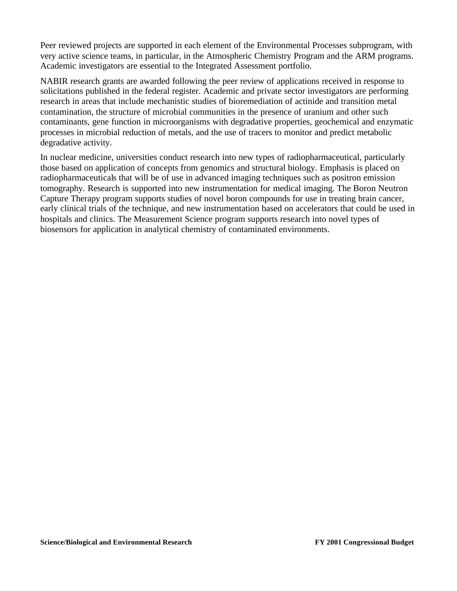Peer reviewed projects are supported in each element of the Environmental Processes subprogram, with very active science teams, in particular, in the Atmospheric Chemistry Program and the ARM programs. Academic investigators are essential to the Integrated Assessment portfolio.

NABIR research grants are awarded following the peer review of applications received in response to solicitations published in the federal register. Academic and private sector investigators are performing research in areas that include mechanistic studies of bioremediation of actinide and transition metal contamination, the structure of microbial communities in the presence of uranium and other such contaminants, gene function in microorganisms with degradative properties, geochemical and enzymatic processes in microbial reduction of metals, and the use of tracers to monitor and predict metabolic degradative activity.

In nuclear medicine, universities conduct research into new types of radiopharmaceutical, particularly those based on application of concepts from genomics and structural biology. Emphasis is placed on radiopharmaceuticals that will be of use in advanced imaging techniques such as positron emission tomography. Research is supported into new instrumentation for medical imaging. The Boron Neutron Capture Therapy program supports studies of novel boron compounds for use in treating brain cancer, early clinical trials of the technique, and new instrumentation based on accelerators that could be used in hospitals and clinics. The Measurement Science program supports research into novel types of biosensors for application in analytical chemistry of contaminated environments.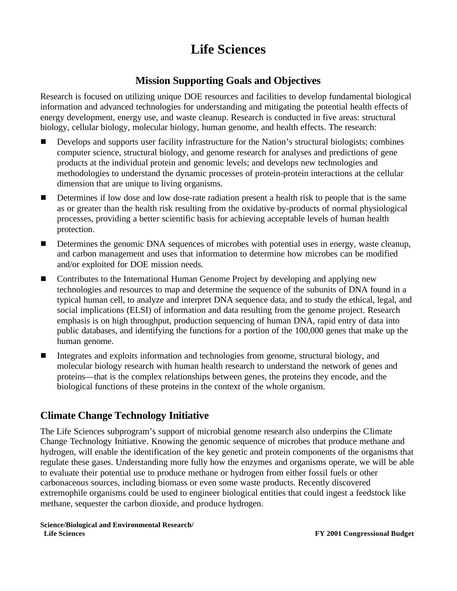# **Life Sciences**

### **Mission Supporting Goals and Objectives**

Research is focused on utilizing unique DOE resources and facilities to develop fundamental biological information and advanced technologies for understanding and mitigating the potential health effects of energy development, energy use, and waste cleanup. Research is conducted in five areas: structural biology, cellular biology, molecular biology, human genome, and health effects. The research:

- **Develops and supports user facility infrastructure for the Nation's structural biologists; combines** computer science, structural biology, and genome research for analyses and predictions of gene products at the individual protein and genomic levels; and develops new technologies and methodologies to understand the dynamic processes of protein-protein interactions at the cellular dimension that are unique to living organisms.
- Determines if low dose and low dose-rate radiation present a health risk to people that is the same as or greater than the health risk resulting from the oxidative by-products of normal physiological processes, providing a better scientific basis for achieving acceptable levels of human health protection.
- **EXECUTE:** Determines the genomic DNA sequences of microbes with potential uses in energy, waste cleanup, and carbon management and uses that information to determine how microbes can be modified and/or exploited for DOE mission needs.
- **E** Contributes to the International Human Genome Project by developing and applying new technologies and resources to map and determine the sequence of the subunits of DNA found in a typical human cell, to analyze and interpret DNA sequence data, and to study the ethical, legal, and social implications (ELSI) of information and data resulting from the genome project. Research emphasis is on high throughput, production sequencing of human DNA, rapid entry of data into public databases, and identifying the functions for a portion of the 100,000 genes that make up the human genome.
- Integrates and exploits information and technologies from genome, structural biology, and molecular biology research with human health research to understand the network of genes and proteins—that is the complex relationships between genes, the proteins they encode, and the biological functions of these proteins in the context of the whole organism.

## **Climate Change Technology Initiative**

The Life Sciences subprogram's support of microbial genome research also underpins the Climate Change Technology Initiative. Knowing the genomic sequence of microbes that produce methane and hydrogen, will enable the identification of the key genetic and protein components of the organisms that regulate these gases. Understanding more fully how the enzymes and organisms operate, we will be able to evaluate their potential use to produce methane or hydrogen from either fossil fuels or other carbonaceous sources, including biomass or even some waste products. Recently discovered extremophile organisms could be used to engineer biological entities that could ingest a feedstock like methane, sequester the carbon dioxide, and produce hydrogen.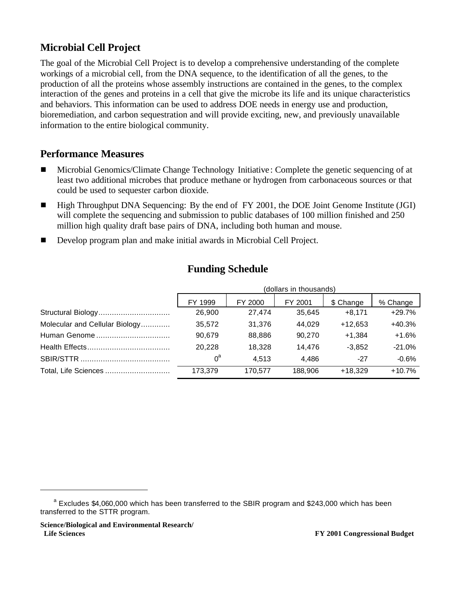## **Microbial Cell Project**

The goal of the Microbial Cell Project is to develop a comprehensive understanding of the complete workings of a microbial cell, from the DNA sequence, to the identification of all the genes, to the production of all the proteins whose assembly instructions are contained in the genes, to the complex interaction of the genes and proteins in a cell that give the microbe its life and its unique characteristics and behaviors. This information can be used to address DOE needs in energy use and production, bioremediation, and carbon sequestration and will provide exciting, new, and previously unavailable information to the entire biological community.

## **Performance Measures**

- <sup>g</sup> Microbial Genomics/Climate Change Technology Initiative : Complete the genetic sequencing of at least two additional microbes that produce methane or hydrogen from carbonaceous sources or that could be used to sequester carbon dioxide.
- High Throughput DNA Sequencing: By the end of FY 2001, the DOE Joint Genome Institute (JGI) will complete the sequencing and submission to public databases of 100 million finished and 250 million high quality draft base pairs of DNA, including both human and mouse.
- Develop program plan and make initial awards in Microbial Cell Project.

|                                | (dollars in thousands) |         |         |           |          |  |  |
|--------------------------------|------------------------|---------|---------|-----------|----------|--|--|
|                                | FY 1999                | FY 2000 | FY 2001 | \$ Change | % Change |  |  |
|                                | 26,900                 | 27.474  | 35.645  | $+8.171$  | $+29.7%$ |  |  |
| Molecular and Cellular Biology | 35,572                 | 31.376  | 44,029  | $+12.653$ | $+40.3%$ |  |  |
| Human Genome                   | 90,679                 | 88.886  | 90,270  | $+1.384$  | $+1.6%$  |  |  |
|                                | 20.228                 | 18.328  | 14.476  | $-3.852$  | $-21.0%$ |  |  |
|                                | $0^{\mathsf{a}}$       | 4.513   | 4.486   | $-27$     | $-0.6%$  |  |  |
| Total, Life Sciences           | 173.379                | 170,577 | 188.906 | $+18.329$ | $+10.7%$ |  |  |

### **Funding Schedule**

<sup>&</sup>lt;sup>a</sup> Excludes \$4,060,000 which has been transferred to the SBIR program and \$243,000 which has been transferred to the STTR program.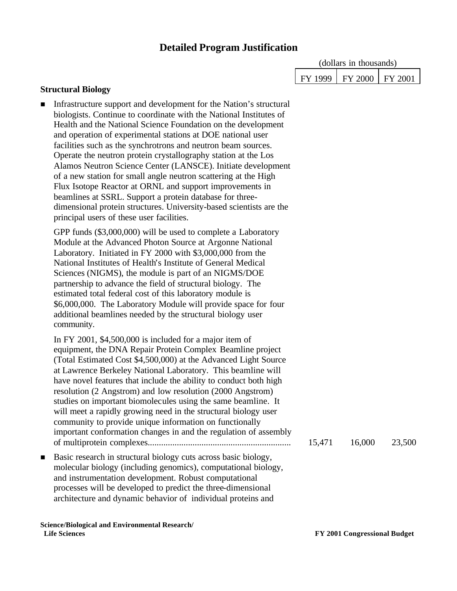### **Detailed Program Justification**

| (dollars in thousands) |                             |  |  |  |
|------------------------|-----------------------------|--|--|--|
|                        | FY 1999   FY 2000   FY 2001 |  |  |  |

#### **Structural Biology**

Infrastructure support and development for the Nation's structural biologists. Continue to coordinate with the National Institutes of Health and the National Science Foundation on the development and operation of experimental stations at DOE national user facilities such as the synchrotrons and neutron beam sources. Operate the neutron protein crystallography station at the Los Alamos Neutron Science Center (LANSCE). Initiate development of a new station for small angle neutron scattering at the High Flux Isotope Reactor at ORNL and support improvements in beamlines at SSRL. Support a protein database for threedimensional protein structures. University-based scientists are the principal users of these user facilities. GPP funds (\$3,000,000) will be used to complete a Laboratory Module at the Advanced Photon Source at Argonne National Laboratory. Initiated in FY 2000 with \$3,000,000 from the National Institutes of Health's Institute of General Medical Sciences (NIGMS), the module is part of an NIGMS/DOE partnership to advance the field of structural biology. The estimated total federal cost of this laboratory module is \$6,000,000. The Laboratory Module will provide space for four additional beamlines needed by the structural biology user community. In FY 2001, \$4,500,000 is included for a major item of equipment, the DNA Repair Protein Complex Beamline project (Total Estimated Cost \$4,500,000) at the Advanced Light Source at Lawrence Berkeley National Laboratory. This beamline will have novel features that include the ability to conduct both high resolution (2 Angstrom) and low resolution (2000 Angstrom) studies on important biomolecules using the same beamline. It will meet a rapidly growing need in the structural biology user community to provide unique information on functionally important conformation changes in and the regulation of assembly of multiprotein complexes................................................................ 15,471 16,000 23,500 n Basic research in structural biology cuts across basic biology, molecular biology (including genomics), computational biology, and instrumentation development. Robust computational processes will be developed to predict the three-dimensional architecture and dynamic behavior of individual proteins and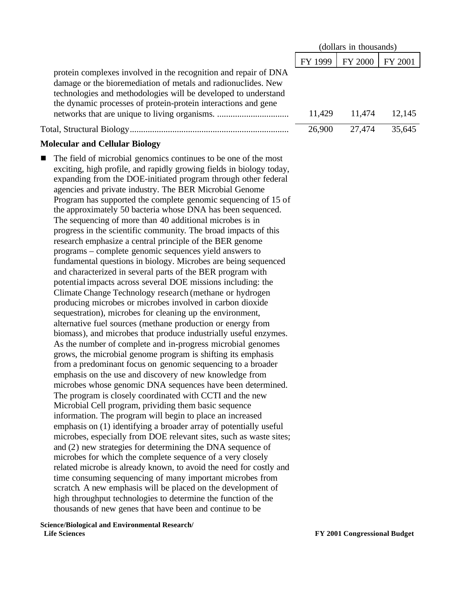|                                                                                                                                                                                                                                                                                                                                                                                                                                                                                                                                                                                                                                                                                                                                                                                                                                                                                                                                                                                                                                                                                                                                                                                                                                                                                                                                                                                                                                                                                                                                                                                                                                                                                                                                                                                                                                                                                                                                                                                                                                                                                                                                                                                                                                                                                                    |         | (dollars in thousands) |         |
|----------------------------------------------------------------------------------------------------------------------------------------------------------------------------------------------------------------------------------------------------------------------------------------------------------------------------------------------------------------------------------------------------------------------------------------------------------------------------------------------------------------------------------------------------------------------------------------------------------------------------------------------------------------------------------------------------------------------------------------------------------------------------------------------------------------------------------------------------------------------------------------------------------------------------------------------------------------------------------------------------------------------------------------------------------------------------------------------------------------------------------------------------------------------------------------------------------------------------------------------------------------------------------------------------------------------------------------------------------------------------------------------------------------------------------------------------------------------------------------------------------------------------------------------------------------------------------------------------------------------------------------------------------------------------------------------------------------------------------------------------------------------------------------------------------------------------------------------------------------------------------------------------------------------------------------------------------------------------------------------------------------------------------------------------------------------------------------------------------------------------------------------------------------------------------------------------------------------------------------------------------------------------------------------------|---------|------------------------|---------|
|                                                                                                                                                                                                                                                                                                                                                                                                                                                                                                                                                                                                                                                                                                                                                                                                                                                                                                                                                                                                                                                                                                                                                                                                                                                                                                                                                                                                                                                                                                                                                                                                                                                                                                                                                                                                                                                                                                                                                                                                                                                                                                                                                                                                                                                                                                    | FY 1999 | FY 2000                | FY 2001 |
| protein complexes involved in the recognition and repair of DNA<br>damage or the bioremediation of metals and radionuclides. New<br>technologies and methodologies will be developed to understand<br>the dynamic processes of protein-protein interactions and gene                                                                                                                                                                                                                                                                                                                                                                                                                                                                                                                                                                                                                                                                                                                                                                                                                                                                                                                                                                                                                                                                                                                                                                                                                                                                                                                                                                                                                                                                                                                                                                                                                                                                                                                                                                                                                                                                                                                                                                                                                               | 11,429  | 11,474                 | 12,145  |
|                                                                                                                                                                                                                                                                                                                                                                                                                                                                                                                                                                                                                                                                                                                                                                                                                                                                                                                                                                                                                                                                                                                                                                                                                                                                                                                                                                                                                                                                                                                                                                                                                                                                                                                                                                                                                                                                                                                                                                                                                                                                                                                                                                                                                                                                                                    | 26,900  | 27,474                 | 35,645  |
| <b>Molecular and Cellular Biology</b>                                                                                                                                                                                                                                                                                                                                                                                                                                                                                                                                                                                                                                                                                                                                                                                                                                                                                                                                                                                                                                                                                                                                                                                                                                                                                                                                                                                                                                                                                                                                                                                                                                                                                                                                                                                                                                                                                                                                                                                                                                                                                                                                                                                                                                                              |         |                        |         |
| The field of microbial genomics continues to be one of the most<br>exciting, high profile, and rapidly growing fields in biology today,<br>expanding from the DOE-initiated program through other federal<br>agencies and private industry. The BER Microbial Genome<br>Program has supported the complete genomic sequencing of 15 of<br>the approximately 50 bacteria whose DNA has been sequenced.<br>The sequencing of more than 40 additional microbes is in<br>progress in the scientific community. The broad impacts of this<br>research emphasize a central principle of the BER genome<br>programs – complete genomic sequences yield answers to<br>fundamental questions in biology. Microbes are being sequenced<br>and characterized in several parts of the BER program with<br>potential impacts across several DOE missions including: the<br>Climate Change Technology research (methane or hydrogen<br>producing microbes or microbes involved in carbon dioxide<br>sequestration), microbes for cleaning up the environment,<br>alternative fuel sources (methane production or energy from<br>biomass), and microbes that produce industrially useful enzymes.<br>As the number of complete and in-progress microbial genomes<br>grows, the microbial genome program is shifting its emphasis<br>from a predominant focus on genomic sequencing to a broader<br>emphasis on the use and discovery of new knowledge from<br>microbes whose genomic DNA sequences have been determined.<br>The program is closely coordinated with CCTI and the new<br>Microbial Cell program, prividing them basic sequence<br>information. The program will begin to place an increased<br>emphasis on (1) identifying a broader array of potentially useful<br>microbes, especially from DOE relevant sites, such as waste sites;<br>and (2) new strategies for determining the DNA sequence of<br>microbes for which the complete sequence of a very closely<br>related microbe is already known, to avoid the need for costly and<br>time consuming sequencing of many important microbes from<br>scratch. A new emphasis will be placed on the development of<br>high throughput technologies to determine the function of the<br>thousands of new genes that have been and continue to be |         |                        |         |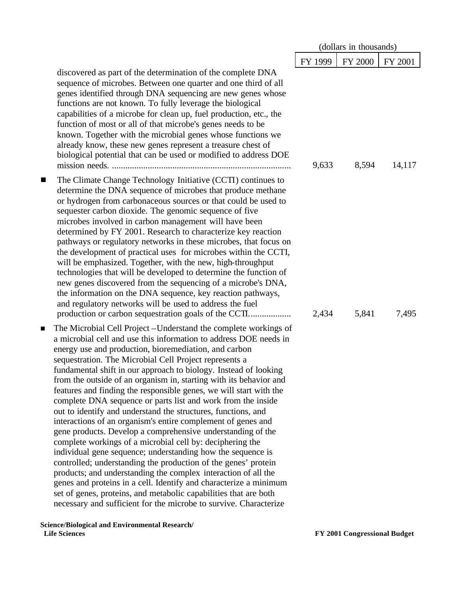|                |                                                                                                                                                                                                                                                                                                                                                                                                                                                                                                                                                                                                                                                                                                                                                                                                                                                                                                                                                                                                                                                                                                                                                                                                                        |         | (dollars in thousands) |         |
|----------------|------------------------------------------------------------------------------------------------------------------------------------------------------------------------------------------------------------------------------------------------------------------------------------------------------------------------------------------------------------------------------------------------------------------------------------------------------------------------------------------------------------------------------------------------------------------------------------------------------------------------------------------------------------------------------------------------------------------------------------------------------------------------------------------------------------------------------------------------------------------------------------------------------------------------------------------------------------------------------------------------------------------------------------------------------------------------------------------------------------------------------------------------------------------------------------------------------------------------|---------|------------------------|---------|
|                |                                                                                                                                                                                                                                                                                                                                                                                                                                                                                                                                                                                                                                                                                                                                                                                                                                                                                                                                                                                                                                                                                                                                                                                                                        | FY 1999 | FY 2000                | FY 2001 |
|                | discovered as part of the determination of the complete DNA<br>sequence of microbes. Between one quarter and one third of all<br>genes identified through DNA sequencing are new genes whose<br>functions are not known. To fully leverage the biological<br>capabilities of a microbe for clean up, fuel production, etc., the<br>function of most or all of that microbe's genes needs to be<br>known. Together with the microbial genes whose functions we<br>already know, these new genes represent a treasure chest of<br>biological potential that can be used or modified to address DOE                                                                                                                                                                                                                                                                                                                                                                                                                                                                                                                                                                                                                       | 9,633   | 8,594                  | 14,117  |
| ■              | The Climate Change Technology Initiative (CCTI) continues to<br>determine the DNA sequence of microbes that produce methane<br>or hydrogen from carbonaceous sources or that could be used to<br>sequester carbon dioxide. The genomic sequence of five<br>microbes involved in carbon management will have been<br>determined by FY 2001. Research to characterize key reaction<br>pathways or regulatory networks in these microbes, that focus on<br>the development of practical uses for microbes within the CCTI,<br>will be emphasized. Together, with the new, high-throughput<br>technologies that will be developed to determine the function of<br>new genes discovered from the sequencing of a microbe's DNA,<br>the information on the DNA sequence, key reaction pathways,<br>and regulatory networks will be used to address the fuel                                                                                                                                                                                                                                                                                                                                                                  | 2,434   | 5,841                  | 7,495   |
| $\blacksquare$ | The Microbial Cell Project – Understand the complete workings of<br>a microbial cell and use this information to address DOE needs in<br>energy use and production, bioremediation, and carbon<br>sequestration. The Microbial Cell Project represents a<br>fundamental shift in our approach to biology. Instead of looking<br>from the outside of an organism in, starting with its behavior and<br>features and finding the responsible genes, we will start with the<br>complete DNA sequence or parts list and work from the inside<br>out to identify and understand the structures, functions, and<br>interactions of an organism's entire complement of genes and<br>gene products. Develop a comprehensive understanding of the<br>complete workings of a microbial cell by: deciphering the<br>individual gene sequence; understanding how the sequence is<br>controlled; understanding the production of the genes' protein<br>products; and understanding the complex interaction of all the<br>genes and proteins in a cell. Identify and characterize a minimum<br>set of genes, proteins, and metabolic capabilities that are both<br>necessary and sufficient for the microbe to survive. Characterize |         |                        |         |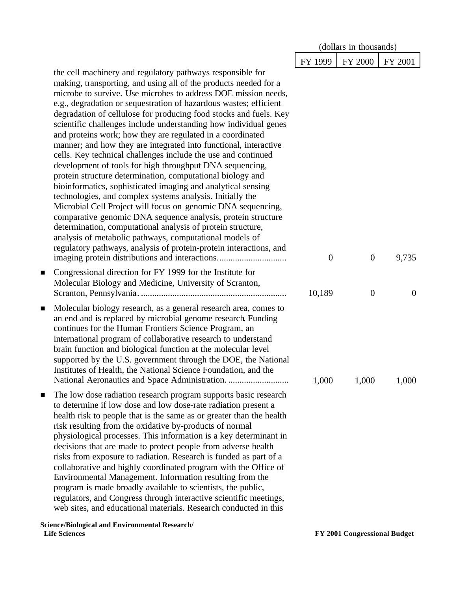|                                                                                                                                                                                                                                                                                                                                                                                                                                                                                                                                                                                                                                                                                                                                                                                                                                                                                                                                                                                                                                                                                                                                                                                                                                                            | (dollars in thousands) |                  |                |
|------------------------------------------------------------------------------------------------------------------------------------------------------------------------------------------------------------------------------------------------------------------------------------------------------------------------------------------------------------------------------------------------------------------------------------------------------------------------------------------------------------------------------------------------------------------------------------------------------------------------------------------------------------------------------------------------------------------------------------------------------------------------------------------------------------------------------------------------------------------------------------------------------------------------------------------------------------------------------------------------------------------------------------------------------------------------------------------------------------------------------------------------------------------------------------------------------------------------------------------------------------|------------------------|------------------|----------------|
|                                                                                                                                                                                                                                                                                                                                                                                                                                                                                                                                                                                                                                                                                                                                                                                                                                                                                                                                                                                                                                                                                                                                                                                                                                                            | FY 1999                | <b>FY 2000</b>   | FY 2001        |
| the cell machinery and regulatory pathways responsible for<br>making, transporting, and using all of the products needed for a<br>microbe to survive. Use microbes to address DOE mission needs,<br>e.g., degradation or sequestration of hazardous wastes; efficient<br>degradation of cellulose for producing food stocks and fuels. Key<br>scientific challenges include understanding how individual genes<br>and proteins work; how they are regulated in a coordinated<br>manner; and how they are integrated into functional, interactive<br>cells. Key technical challenges include the use and continued<br>development of tools for high throughput DNA sequencing,<br>protein structure determination, computational biology and<br>bioinformatics, sophisticated imaging and analytical sensing<br>technologies, and complex systems analysis. Initially the<br>Microbial Cell Project will focus on genomic DNA sequencing,<br>comparative genomic DNA sequence analysis, protein structure<br>determination, computational analysis of protein structure,<br>analysis of metabolic pathways, computational models of<br>regulatory pathways, analysis of protein-protein interactions, and<br>imaging protein distributions and interactions | $\theta$               | $\boldsymbol{0}$ | 9,735          |
| Congressional direction for FY 1999 for the Institute for<br>$\blacksquare$<br>Molecular Biology and Medicine, University of Scranton,                                                                                                                                                                                                                                                                                                                                                                                                                                                                                                                                                                                                                                                                                                                                                                                                                                                                                                                                                                                                                                                                                                                     | 10,189                 | $\overline{0}$   | $\overline{0}$ |
| Molecular biology research, as a general research area, comes to<br>$\blacksquare$<br>an end and is replaced by microbial genome research. Funding<br>continues for the Human Frontiers Science Program, an<br>international program of collaborative research to understand<br>brain function and biological function at the molecular level<br>supported by the U.S. government through the DOE, the National<br>Institutes of Health, the National Science Foundation, and the<br>National Aeronautics and Space Administration.                                                                                                                                                                                                                                                                                                                                                                                                                                                                                                                                                                                                                                                                                                                        | 1,000                  | 1,000            | 1,000          |
| The low dose radiation research program supports basic research<br>$\blacksquare$<br>to determine if low dose and low dose-rate radiation present a<br>health risk to people that is the same as or greater than the health<br>risk resulting from the oxidative by-products of normal<br>physiological processes. This information is a key determinant in<br>decisions that are made to protect people from adverse health<br>risks from exposure to radiation. Research is funded as part of a<br>collaborative and highly coordinated program with the Office of<br>Environmental Management. Information resulting from the<br>program is made broadly available to scientists, the public,<br>regulators, and Congress through interactive scientific meetings,<br>web sites, and educational materials. Research conducted in this<br>Science/Biological and Environmental Research/                                                                                                                                                                                                                                                                                                                                                                |                        |                  |                |

 **Life Sciences FY 2001 Congressional Budget**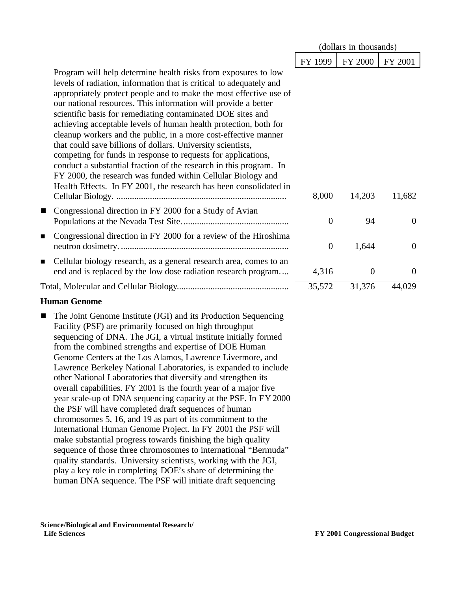|                                                                                                                                                                                                                                                                                                                                                                                                                                                                                                                                                                                                                                                                                                                                                                                                                                | (dollars in thousands) |                |          |
|--------------------------------------------------------------------------------------------------------------------------------------------------------------------------------------------------------------------------------------------------------------------------------------------------------------------------------------------------------------------------------------------------------------------------------------------------------------------------------------------------------------------------------------------------------------------------------------------------------------------------------------------------------------------------------------------------------------------------------------------------------------------------------------------------------------------------------|------------------------|----------------|----------|
|                                                                                                                                                                                                                                                                                                                                                                                                                                                                                                                                                                                                                                                                                                                                                                                                                                | FY 1999                | <b>FY 2000</b> | FY 2001  |
| Program will help determine health risks from exposures to low<br>levels of radiation, information that is critical to adequately and<br>appropriately protect people and to make the most effective use of<br>our national resources. This information will provide a better<br>scientific basis for remediating contaminated DOE sites and<br>achieving acceptable levels of human health protection, both for<br>cleanup workers and the public, in a more cost-effective manner<br>that could save billions of dollars. University scientists,<br>competing for funds in response to requests for applications,<br>conduct a substantial fraction of the research in this program. In<br>FY 2000, the research was funded within Cellular Biology and<br>Health Effects. In FY 2001, the research has been consolidated in | 8,000                  | 14,203         | 11,682   |
| Congressional direction in FY 2000 for a Study of Avian<br>$\blacksquare$                                                                                                                                                                                                                                                                                                                                                                                                                                                                                                                                                                                                                                                                                                                                                      | $\theta$               | 94             | $\Omega$ |
| Congressional direction in FY 2000 for a review of the Hiroshima<br>п                                                                                                                                                                                                                                                                                                                                                                                                                                                                                                                                                                                                                                                                                                                                                          | $\overline{0}$         | 1,644          | $\theta$ |
| Cellular biology research, as a general research area, comes to an<br>$\blacksquare$<br>end and is replaced by the low dose radiation research program                                                                                                                                                                                                                                                                                                                                                                                                                                                                                                                                                                                                                                                                         | 4,316                  | $\theta$       | $\theta$ |
|                                                                                                                                                                                                                                                                                                                                                                                                                                                                                                                                                                                                                                                                                                                                                                                                                                | 35,572                 | 31,376         | 44,029   |

#### **Human Genome**

■ The Joint Genome Institute (JGI) and its Production Sequencing Facility (PSF) are primarily focused on high throughput sequencing of DNA. The JGI, a virtual institute initially formed from the combined strengths and expertise of DOE Human Genome Centers at the Los Alamos, Lawrence Livermore, and Lawrence Berkeley National Laboratories, is expanded to include other National Laboratories that diversify and strengthen its overall capabilities. FY 2001 is the fourth year of a major five year scale-up of DNA sequencing capacity at the PSF. In FY 2000 the PSF will have completed draft sequences of human chromosomes 5, 16, and 19 as part of its commitment to the International Human Genome Project. In FY 2001 the PSF will make substantial progress towards finishing the high quality sequence of those three chromosomes to international "Bermuda" quality standards. University scientists, working with the JGI, play a key role in completing DOE's share of determining the human DNA sequence. The PSF will initiate draft sequencing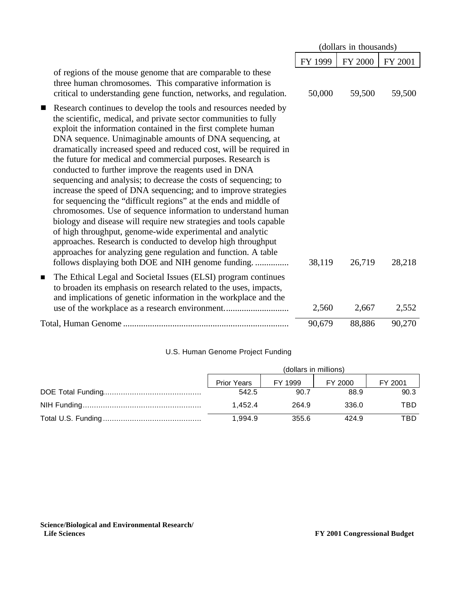|                                                                                                                                                                                                                                                                                                                                                                                                                                                                                                                                                                                                                                                                                                                                                                                                                                                                                                                                                                                                                                                                                        | (dollars in thousands) |                |         |
|----------------------------------------------------------------------------------------------------------------------------------------------------------------------------------------------------------------------------------------------------------------------------------------------------------------------------------------------------------------------------------------------------------------------------------------------------------------------------------------------------------------------------------------------------------------------------------------------------------------------------------------------------------------------------------------------------------------------------------------------------------------------------------------------------------------------------------------------------------------------------------------------------------------------------------------------------------------------------------------------------------------------------------------------------------------------------------------|------------------------|----------------|---------|
|                                                                                                                                                                                                                                                                                                                                                                                                                                                                                                                                                                                                                                                                                                                                                                                                                                                                                                                                                                                                                                                                                        | FY 1999                | <b>FY 2000</b> | FY 2001 |
| of regions of the mouse genome that are comparable to these<br>three human chromosomes. This comparative information is<br>critical to understanding gene function, networks, and regulation.                                                                                                                                                                                                                                                                                                                                                                                                                                                                                                                                                                                                                                                                                                                                                                                                                                                                                          | 50,000                 | 59,500         | 59,500  |
| Research continues to develop the tools and resources needed by<br>$\blacksquare$<br>the scientific, medical, and private sector communities to fully<br>exploit the information contained in the first complete human<br>DNA sequence. Unimaginable amounts of DNA sequencing, at<br>dramatically increased speed and reduced cost, will be required in<br>the future for medical and commercial purposes. Research is<br>conducted to further improve the reagents used in DNA<br>sequencing and analysis; to decrease the costs of sequencing; to<br>increase the speed of DNA sequencing; and to improve strategies<br>for sequencing the "difficult regions" at the ends and middle of<br>chromosomes. Use of sequence information to understand human<br>biology and disease will require new strategies and tools capable<br>of high throughput, genome-wide experimental and analytic<br>approaches. Research is conducted to develop high throughput<br>approaches for analyzing gene regulation and function. A table<br>follows displaying both DOE and NIH genome funding. | 38,119                 | 26,719         | 28,218  |
| The Ethical Legal and Societal Issues (ELSI) program continues<br>п<br>to broaden its emphasis on research related to the uses, impacts,<br>and implications of genetic information in the workplace and the                                                                                                                                                                                                                                                                                                                                                                                                                                                                                                                                                                                                                                                                                                                                                                                                                                                                           | 2,560                  | 2,667          | 2,552   |
|                                                                                                                                                                                                                                                                                                                                                                                                                                                                                                                                                                                                                                                                                                                                                                                                                                                                                                                                                                                                                                                                                        | 90,679                 | 88,886         | 90,270  |

#### U.S. Human Genome Project Funding

| (dollars in millions) |         |         |         |  |  |  |
|-----------------------|---------|---------|---------|--|--|--|
| <b>Prior Years</b>    | FY 1999 | FY 2000 | FY 2001 |  |  |  |
| 542.5                 | 90.7    | 88.9    | 90.3    |  |  |  |
| 1.452.4               | 264.9   | 336.0   | TBD     |  |  |  |
| 1.994.9               | 355.6   | 424.9   | TBD     |  |  |  |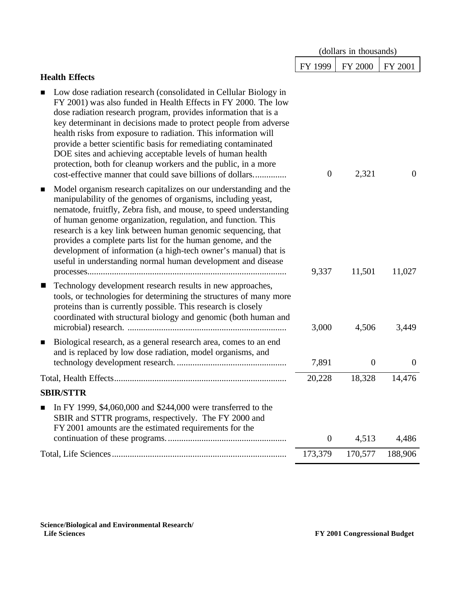|                                                                                                                                                                                                                                                                                                                                                                                                                                                                                                                                                                                                                | (dollars in thousands) |                |          |
|----------------------------------------------------------------------------------------------------------------------------------------------------------------------------------------------------------------------------------------------------------------------------------------------------------------------------------------------------------------------------------------------------------------------------------------------------------------------------------------------------------------------------------------------------------------------------------------------------------------|------------------------|----------------|----------|
|                                                                                                                                                                                                                                                                                                                                                                                                                                                                                                                                                                                                                | FY 1999                | FY 2000        | FY 2001  |
| <b>Health Effects</b>                                                                                                                                                                                                                                                                                                                                                                                                                                                                                                                                                                                          |                        |                |          |
| Low dose radiation research (consolidated in Cellular Biology in<br>п<br>FY 2001) was also funded in Health Effects in FY 2000. The low<br>dose radiation research program, provides information that is a<br>key determinant in decisions made to protect people from adverse<br>health risks from exposure to radiation. This information will<br>provide a better scientific basis for remediating contaminated<br>DOE sites and achieving acceptable levels of human health<br>protection, both for cleanup workers and the public, in a more<br>cost-effective manner that could save billions of dollars | $\theta$               | 2,321          | $\theta$ |
| Model organism research capitalizes on our understanding and the<br>$\blacksquare$<br>manipulability of the genomes of organisms, including yeast,<br>nematode, fruitfly, Zebra fish, and mouse, to speed understanding<br>of human genome organization, regulation, and function. This<br>research is a key link between human genomic sequencing, that<br>provides a complete parts list for the human genome, and the<br>development of information (a high-tech owner's manual) that is<br>useful in understanding normal human development and disease                                                    | 9,337                  | 11,501         | 11,027   |
| Technology development research results in new approaches,<br>ш<br>tools, or technologies for determining the structures of many more<br>proteins than is currently possible. This research is closely<br>coordinated with structural biology and genomic (both human and                                                                                                                                                                                                                                                                                                                                      | 3,000                  | 4,506          | 3,449    |
| Biological research, as a general research area, comes to an end<br>$\blacksquare$<br>and is replaced by low dose radiation, model organisms, and                                                                                                                                                                                                                                                                                                                                                                                                                                                              | 7,891                  | $\overline{0}$ | $\theta$ |
| Total, Health Effects.                                                                                                                                                                                                                                                                                                                                                                                                                                                                                                                                                                                         | 20,228                 | 18,328         | 14,476   |
| <b>SBIR/STTR</b>                                                                                                                                                                                                                                                                                                                                                                                                                                                                                                                                                                                               |                        |                |          |
| In FY 1999, \$4,060,000 and \$244,000 were transferred to the<br>SBIR and STTR programs, respectively. The FY 2000 and<br>FY 2001 amounts are the estimated requirements for the                                                                                                                                                                                                                                                                                                                                                                                                                               |                        |                |          |
|                                                                                                                                                                                                                                                                                                                                                                                                                                                                                                                                                                                                                | $\overline{0}$         | 4,513          | 4,486    |
|                                                                                                                                                                                                                                                                                                                                                                                                                                                                                                                                                                                                                | 173,379                | 170,577        | 188,906  |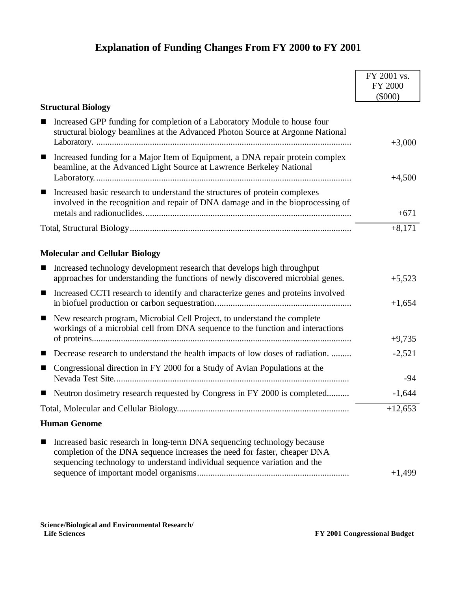## **Explanation of Funding Changes From FY 2000 to FY 2001**

|                                                                                                                                                                                                                                        | FY 2001 vs. |
|----------------------------------------------------------------------------------------------------------------------------------------------------------------------------------------------------------------------------------------|-------------|
|                                                                                                                                                                                                                                        | FY 2000     |
| <b>Structural Biology</b>                                                                                                                                                                                                              | (5000)      |
| Increased GPP funding for completion of a Laboratory Module to house four<br>structural biology beamlines at the Advanced Photon Source at Argonne National                                                                            | $+3,000$    |
| Increased funding for a Major Item of Equipment, a DNA repair protein complex<br>$\blacksquare$<br>beamline, at the Advanced Light Source at Lawrence Berkeley National                                                                | $+4,500$    |
| Increased basic research to understand the structures of protein complexes<br>$\blacksquare$<br>involved in the recognition and repair of DNA damage and in the bioprocessing of                                                       | $+671$      |
|                                                                                                                                                                                                                                        | $+8,171$    |
| <b>Molecular and Cellular Biology</b>                                                                                                                                                                                                  |             |
| Increased technology development research that develops high throughput<br>approaches for understanding the functions of newly discovered microbial genes.                                                                             | $+5,523$    |
| Increased CCTI research to identify and characterize genes and proteins involved<br>$\blacksquare$                                                                                                                                     | $+1,654$    |
| New research program, Microbial Cell Project, to understand the complete<br>$\blacksquare$<br>workings of a microbial cell from DNA sequence to the function and interactions                                                          |             |
|                                                                                                                                                                                                                                        | $+9,735$    |
| Decrease research to understand the health impacts of low doses of radiation.<br>ш                                                                                                                                                     | $-2,521$    |
| Congressional direction in FY 2000 for a Study of Avian Populations at the<br>■                                                                                                                                                        | -94         |
| Neutron dosimetry research requested by Congress in FY 2000 is completed                                                                                                                                                               | $-1,644$    |
|                                                                                                                                                                                                                                        | $+12,653$   |
| <b>Human Genome</b>                                                                                                                                                                                                                    |             |
| Increased basic research in long-term DNA sequencing technology because<br>■<br>completion of the DNA sequence increases the need for faster, cheaper DNA<br>sequencing technology to understand individual sequence variation and the | $+1,499$    |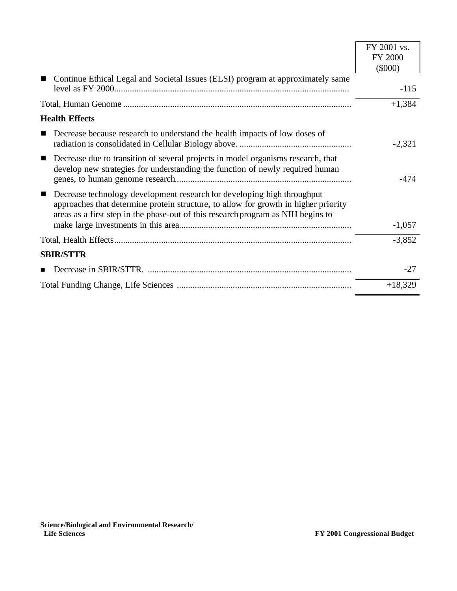|                                                                                                                                                                                                                                                                      | FY 2001 vs.    |
|----------------------------------------------------------------------------------------------------------------------------------------------------------------------------------------------------------------------------------------------------------------------|----------------|
|                                                                                                                                                                                                                                                                      | <b>FY 2000</b> |
|                                                                                                                                                                                                                                                                      | $(\$000)$      |
| Continue Ethical Legal and Societal Issues (ELSI) program at approximately same                                                                                                                                                                                      |                |
|                                                                                                                                                                                                                                                                      | $-115$         |
|                                                                                                                                                                                                                                                                      | $+1,384$       |
| <b>Health Effects</b>                                                                                                                                                                                                                                                |                |
| Decrease because research to understand the health impacts of low doses of                                                                                                                                                                                           | $-2,321$       |
| Decrease due to transition of several projects in model organisms research, that<br>$\blacksquare$<br>develop new strategies for understanding the function of newly required human                                                                                  |                |
|                                                                                                                                                                                                                                                                      | $-474$         |
| Decrease technology development research for developing high throughput<br>$\blacksquare$<br>approaches that determine protein structure, to allow for growth in higher priority<br>areas as a first step in the phase-out of this research program as NIH begins to |                |
|                                                                                                                                                                                                                                                                      | $-1,057$       |
|                                                                                                                                                                                                                                                                      | $-3,852$       |
| <b>SBIR/STTR</b>                                                                                                                                                                                                                                                     |                |
|                                                                                                                                                                                                                                                                      | $-27$          |
|                                                                                                                                                                                                                                                                      | $+18,329$      |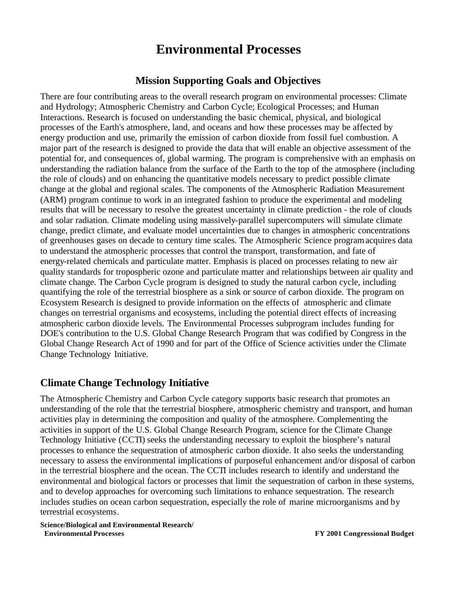## **Environmental Processes**

### **Mission Supporting Goals and Objectives**

There are four contributing areas to the overall research program on environmental processes: Climate and Hydrology; Atmospheric Chemistry and Carbon Cycle; Ecological Processes; and Human Interactions. Research is focused on understanding the basic chemical, physical, and biological processes of the Earth's atmosphere, land, and oceans and how these processes may be affected by energy production and use, primarily the emission of carbon dioxide from fossil fuel combustion. A major part of the research is designed to provide the data that will enable an objective assessment of the potential for, and consequences of, global warming. The program is comprehensive with an emphasis on understanding the radiation balance from the surface of the Earth to the top of the atmosphere (including the role of clouds) and on enhancing the quantitative models necessary to predict possible climate change at the global and regional scales. The components of the Atmospheric Radiation Measurement (ARM) program continue to work in an integrated fashion to produce the experimental and modeling results that will be necessary to resolve the greatest uncertainty in climate prediction - the role of clouds and solar radiation. Climate modeling using massively-parallel supercomputers will simulate climate change, predict climate, and evaluate model uncertainties due to changes in atmospheric concentrations of greenhouses gases on decade to century time scales. The Atmospheric Science program acquires data to understand the atmospheric processes that control the transport, transformation, and fate of energy-related chemicals and particulate matter. Emphasis is placed on processes relating to new air quality standards for tropospheric ozone and particulate matter and relationships between air quality and climate change. The Carbon Cycle program is designed to study the natural carbon cycle, including quantifying the role of the terrestrial biosphere as a sink or source of carbon dioxide. The program on Ecosystem Research is designed to provide information on the effects of atmospheric and climate changes on terrestrial organisms and ecosystems, including the potential direct effects of increasing atmospheric carbon dioxide levels. The Environmental Processes subprogram includes funding for DOE's contribution to the U.S. Global Change Research Program that was codified by Congress in the Global Change Research Act of 1990 and for part of the Office of Science activities under the Climate Change Technology Initiative.

### **Climate Change Technology Initiative**

The Atmospheric Chemistry and Carbon Cycle category supports basic research that promotes an understanding of the role that the terrestrial biosphere, atmospheric chemistry and transport, and human activities play in determining the composition and quality of the atmosphere. Complementing the activities in support of the U.S. Global Change Research Program, science for the Climate Change Technology Initiative (CCTI) seeks the understanding necessary to exploit the biosphere's natural processes to enhance the sequestration of atmospheric carbon dioxide. It also seeks the understanding necessary to assess the environmental implications of purposeful enhancement and/or disposal of carbon in the terrestrial biosphere and the ocean. The CCTI includes research to identify and understand the environmental and biological factors or processes that limit the sequestration of carbon in these systems, and to develop approaches for overcoming such limitations to enhance sequestration. The research includes studies on ocean carbon sequestration, especially the role of marine microorganisms and by terrestrial ecosystems.

**Science/Biological and Environmental Research/ Environmental Processes FY 2001 Congressional Budget**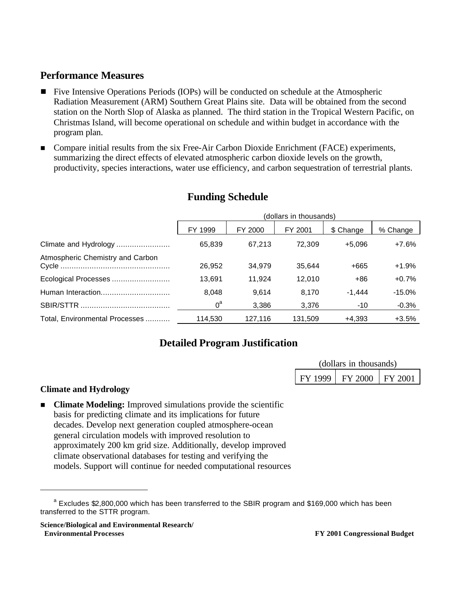## **Performance Measures**

- **Five Intensive Operations Periods (IOPs) will be conducted on schedule at the Atmospheric** Radiation Measurement (ARM) Southern Great Plains site. Data will be obtained from the second station on the North Slop of Alaska as planned. The third station in the Tropical Western Pacific, on Christmas Island, will become operational on schedule and within budget in accordance with the program plan.
- Compare initial results from the six Free-Air Carbon Dioxide Enrichment (FACE) experiments, summarizing the direct effects of elevated atmospheric carbon dioxide levels on the growth, productivity, species interactions, water use efficiency, and carbon sequestration of terrestrial plants.

|                                  | (dollars in thousands) |         |         |           |          |
|----------------------------------|------------------------|---------|---------|-----------|----------|
|                                  | FY 1999                | FY 2000 | FY 2001 | \$ Change | % Change |
| Climate and Hydrology            | 65,839                 | 67.213  | 72.309  | $+5.096$  | $+7.6%$  |
| Atmospheric Chemistry and Carbon | 26,952                 | 34.979  | 35.644  | +665      | $+1.9%$  |
| Ecological Processes             | 13,691                 | 11.924  | 12.010  | $+86$     | $+0.7%$  |
| Human Interaction                | 8.048                  | 9.614   | 8.170   | $-1.444$  | $-15.0%$ |
|                                  | $0^a$                  | 3,386   | 3,376   | $-10$     | $-0.3%$  |
| Total, Environmental Processes   | 114,530                | 127,116 | 131,509 | +4,393    | $+3.5%$  |

### **Funding Schedule**

## **Detailed Program Justification**

| (dollars in thousands) |                             |  |  |  |
|------------------------|-----------------------------|--|--|--|
|                        | FY 1999   FY 2000   FY 2001 |  |  |  |

#### **Climate and Hydrology**

 $\overline{a}$ 

■ **Climate Modeling:** Improved simulations provide the scientific basis for predicting climate and its implications for future decades. Develop next generation coupled atmosphere-ocean general circulation models with improved resolution to approximately 200 km grid size. Additionally, develop improved climate observational databases for testing and verifying the models. Support will continue for needed computational resources

**Science/Biological and Environmental Research/ Environmental Processes FY 2001 Congressional Budget**

<sup>&</sup>lt;sup>a</sup> Excludes \$2,800,000 which has been transferred to the SBIR program and \$169,000 which has been transferred to the STTR program.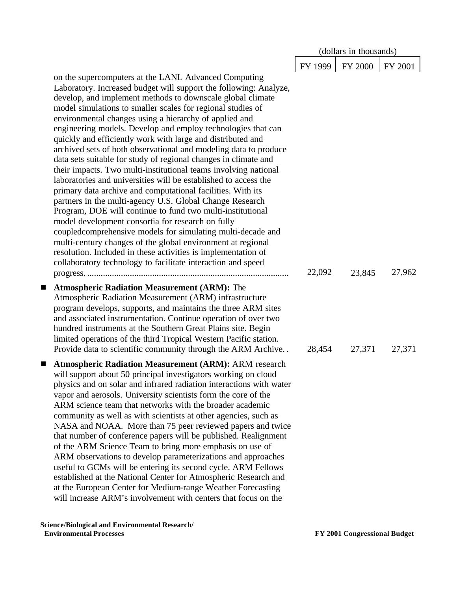|                                                                                                                                                                                                                                                                                                                                                                                                                                                                                                                                                                                                                                                                                                                                                                                                                                                                                                                                                                                                                                                                                                                                                                                                                                            |         | (dollars in thousands) |         |
|--------------------------------------------------------------------------------------------------------------------------------------------------------------------------------------------------------------------------------------------------------------------------------------------------------------------------------------------------------------------------------------------------------------------------------------------------------------------------------------------------------------------------------------------------------------------------------------------------------------------------------------------------------------------------------------------------------------------------------------------------------------------------------------------------------------------------------------------------------------------------------------------------------------------------------------------------------------------------------------------------------------------------------------------------------------------------------------------------------------------------------------------------------------------------------------------------------------------------------------------|---------|------------------------|---------|
|                                                                                                                                                                                                                                                                                                                                                                                                                                                                                                                                                                                                                                                                                                                                                                                                                                                                                                                                                                                                                                                                                                                                                                                                                                            | FY 1999 | <b>FY 2000</b>         | FY 2001 |
| on the supercomputers at the LANL Advanced Computing<br>Laboratory. Increased budget will support the following: Analyze,<br>develop, and implement methods to downscale global climate<br>model simulations to smaller scales for regional studies of<br>environmental changes using a hierarchy of applied and<br>engineering models. Develop and employ technologies that can<br>quickly and efficiently work with large and distributed and<br>archived sets of both observational and modeling data to produce<br>data sets suitable for study of regional changes in climate and<br>their impacts. Two multi-institutional teams involving national<br>laboratories and universities will be established to access the<br>primary data archive and computational facilities. With its<br>partners in the multi-agency U.S. Global Change Research<br>Program, DOE will continue to fund two multi-institutional<br>model development consortia for research on fully<br>coupled comprehensive models for simulating multi-decade and<br>multi-century changes of the global environment at regional<br>resolution. Included in these activities is implementation of<br>collaboratory technology to facilitate interaction and speed | 22,092  | 23,845                 | 27,962  |
| <b>Atmospheric Radiation Measurement (ARM): The</b><br>ш<br>Atmospheric Radiation Measurement (ARM) infrastructure<br>program develops, supports, and maintains the three ARM sites<br>and associated instrumentation. Continue operation of over two<br>hundred instruments at the Southern Great Plains site. Begin<br>limited operations of the third Tropical Western Pacific station.<br>Provide data to scientific community through the ARM Archive                                                                                                                                                                                                                                                                                                                                                                                                                                                                                                                                                                                                                                                                                                                                                                                 | 28,454  | 27,371                 | 27,371  |
| <b>Atmospheric Radiation Measurement (ARM): ARM research</b><br>ш<br>will support about 50 principal investigators working on cloud<br>physics and on solar and infrared radiation interactions with water<br>vapor and aerosols. University scientists form the core of the<br>ARM science team that networks with the broader academic<br>community as well as with scientists at other agencies, such as<br>NASA and NOAA. More than 75 peer reviewed papers and twice<br>that number of conference papers will be published. Realignment<br>of the ARM Science Team to bring more emphasis on use of<br>ARM observations to develop parameterizations and approaches<br>useful to GCMs will be entering its second cycle. ARM Fellows<br>established at the National Center for Atmospheric Research and<br>at the European Center for Medium-range Weather Forecasting<br>will increase ARM's involvement with centers that focus on the                                                                                                                                                                                                                                                                                              |         |                        |         |

**Science/Biological and Environmental Research/**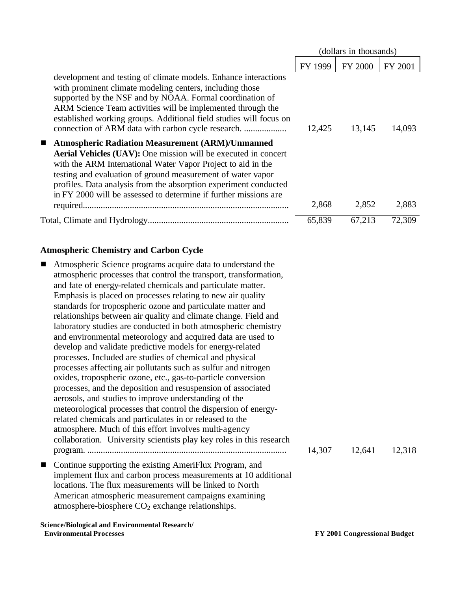|                                                                                                                                                                                                                                                                                                                                                                                                                           |         | (dollars in thousands) |         |
|---------------------------------------------------------------------------------------------------------------------------------------------------------------------------------------------------------------------------------------------------------------------------------------------------------------------------------------------------------------------------------------------------------------------------|---------|------------------------|---------|
|                                                                                                                                                                                                                                                                                                                                                                                                                           | FY 1999 | <b>FY 2000</b>         | FY 2001 |
| development and testing of climate models. Enhance interactions<br>with prominent climate modeling centers, including those<br>supported by the NSF and by NOAA. Formal coordination of<br>ARM Science Team activities will be implemented through the<br>established working groups. Additional field studies will focus on                                                                                              | 12,425  | 13,145                 | 14,093  |
| <b>Atmospheric Radiation Measurement (ARM)/Unmanned</b><br>$\blacksquare$<br><b>Aerial Vehicles (UAV):</b> One mission will be executed in concert<br>with the ARM International Water Vapor Project to aid in the<br>testing and evaluation of ground measurement of water vapor<br>profiles. Data analysis from the absorption experiment conducted<br>in FY 2000 will be assessed to determine if further missions are | 2,868   | 2,852                  | 2,883   |
|                                                                                                                                                                                                                                                                                                                                                                                                                           | 65,839  | 67,213                 | 72,309  |
|                                                                                                                                                                                                                                                                                                                                                                                                                           |         |                        |         |

#### **Atmospheric Chemistry and Carbon Cycle**

**Science/Biological and Environmental Research/** Atmospheric Science programs acquire data to understand the atmospheric processes that control the transport, transformation, and fate of energy-related chemicals and particulate matter. Emphasis is placed on processes relating to new air quality standards for tropospheric ozone and particulate matter and relationships between air quality and climate change. Field and laboratory studies are conducted in both atmospheric chemistry and environmental meteorology and acquired data are used to develop and validate predictive models for energy-related processes. Included are studies of chemical and physical processes affecting air pollutants such as sulfur and nitrogen oxides, tropospheric ozone, etc., gas-to-particle conversion processes, and the deposition and resuspension of associated aerosols, and studies to improve understanding of the meteorological processes that control the dispersion of energyrelated chemicals and particulates in or released to the atmosphere. Much of this effort involves multi-agency collaboration. University scientists play key roles in this research program. ......................................................................................... 14,307 12,641 12,318 ■ Continue supporting the existing AmeriFlux Program, and implement flux and carbon process measurements at 10 additional locations. The flux measurements will be linked to North American atmospheric measurement campaigns examining atmosphere-biosphere  $CO<sub>2</sub>$  exchange relationships.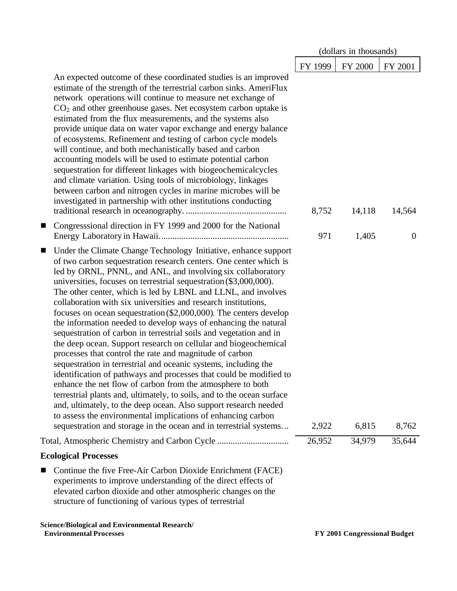|                                                                                                                                                                                                                                                                                                                                                                                                                                                                                                                                                                                                                                                                                                                                                                                                                                                                                                                                                                                                                                                                                                                                                                                                                                                           |         | (dollars in thousands) |                |
|-----------------------------------------------------------------------------------------------------------------------------------------------------------------------------------------------------------------------------------------------------------------------------------------------------------------------------------------------------------------------------------------------------------------------------------------------------------------------------------------------------------------------------------------------------------------------------------------------------------------------------------------------------------------------------------------------------------------------------------------------------------------------------------------------------------------------------------------------------------------------------------------------------------------------------------------------------------------------------------------------------------------------------------------------------------------------------------------------------------------------------------------------------------------------------------------------------------------------------------------------------------|---------|------------------------|----------------|
|                                                                                                                                                                                                                                                                                                                                                                                                                                                                                                                                                                                                                                                                                                                                                                                                                                                                                                                                                                                                                                                                                                                                                                                                                                                           | FY 1999 | FY 2000                | FY 2001        |
| An expected outcome of these coordinated studies is an improved<br>estimate of the strength of the terrestrial carbon sinks. AmeriFlux<br>network operations will continue to measure net exchange of<br>$CO2$ and other greenhouse gases. Net ecosystem carbon uptake is<br>estimated from the flux measurements, and the systems also<br>provide unique data on water vapor exchange and energy balance<br>of ecosystems. Refinement and testing of carbon cycle models<br>will continue, and both mechanistically based and carbon<br>accounting models will be used to estimate potential carbon<br>sequestration for different linkages with biogeochemicalcycles<br>and climate variation. Using tools of microbiology, linkages<br>between carbon and nitrogen cycles in marine microbes will be<br>investigated in partnership with other institutions conducting                                                                                                                                                                                                                                                                                                                                                                                 | 8,752   | 14,118                 | 14,564         |
| Congresssional direction in FY 1999 and 2000 for the National<br>п                                                                                                                                                                                                                                                                                                                                                                                                                                                                                                                                                                                                                                                                                                                                                                                                                                                                                                                                                                                                                                                                                                                                                                                        | 971     | 1,405                  | $\overline{0}$ |
| Under the Climate Change Technology Initiative, enhance support<br>ш<br>of two carbon sequestration research centers. One center which is<br>led by ORNL, PNNL, and ANL, and involving six collaboratory<br>universities, focuses on terrestrial sequestration (\$3,000,000).<br>The other center, which is led by LBNL and LLNL, and involves<br>collaboration with six universities and research institutions,<br>focuses on ocean sequestration $(\$2,000,000)$ . The centers develop<br>the information needed to develop ways of enhancing the natural<br>sequestration of carbon in terrestrial soils and vegetation and in<br>the deep ocean. Support research on cellular and biogeochemical<br>processes that control the rate and magnitude of carbon<br>sequestration in terrestrial and oceanic systems, including the<br>identification of pathways and processes that could be modified to<br>enhance the net flow of carbon from the atmosphere to both<br>terrestrial plants and, ultimately, to soils, and to the ocean surface<br>and, ultimately, to the deep ocean. Also support research needed<br>to assess the environmental implications of enhancing carbon<br>sequestration and storage in the ocean and in terrestrial systems | 2,922   | 6,815                  | 8,762          |
| Total, Atmospheric Chemistry and Carbon Cycle                                                                                                                                                                                                                                                                                                                                                                                                                                                                                                                                                                                                                                                                                                                                                                                                                                                                                                                                                                                                                                                                                                                                                                                                             | 26,952  | 34,979                 | 35,644         |
| <b>Ecological Processes</b>                                                                                                                                                                                                                                                                                                                                                                                                                                                                                                                                                                                                                                                                                                                                                                                                                                                                                                                                                                                                                                                                                                                                                                                                                               |         |                        |                |
| Continue the five Free-Air Carbon Dioxide Enrichment (FACE)<br>experiments to improve understanding of the direct effects of<br>elevated carbon dioxide and other atmospheric changes on the<br>structure of functioning of various types of terrestrial                                                                                                                                                                                                                                                                                                                                                                                                                                                                                                                                                                                                                                                                                                                                                                                                                                                                                                                                                                                                  |         |                        |                |
| Science/Biological and Environmental Research/                                                                                                                                                                                                                                                                                                                                                                                                                                                                                                                                                                                                                                                                                                                                                                                                                                                                                                                                                                                                                                                                                                                                                                                                            |         |                        |                |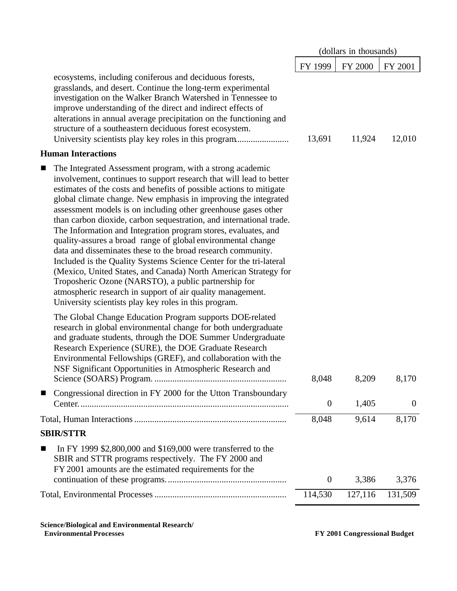|                                                                                                                                                                                                                                                                                                                                                                                                                                                                                                                                                                                                                                                                                                                                                                                                                                                                                                                                                    |                  | (dollars in thousands) |                |
|----------------------------------------------------------------------------------------------------------------------------------------------------------------------------------------------------------------------------------------------------------------------------------------------------------------------------------------------------------------------------------------------------------------------------------------------------------------------------------------------------------------------------------------------------------------------------------------------------------------------------------------------------------------------------------------------------------------------------------------------------------------------------------------------------------------------------------------------------------------------------------------------------------------------------------------------------|------------------|------------------------|----------------|
|                                                                                                                                                                                                                                                                                                                                                                                                                                                                                                                                                                                                                                                                                                                                                                                                                                                                                                                                                    | FY 1999          | FY 2000                | FY 2001        |
| ecosystems, including coniferous and deciduous forests,<br>grasslands, and desert. Continue the long-term experimental<br>investigation on the Walker Branch Watershed in Tennessee to<br>improve understanding of the direct and indirect effects of<br>alterations in annual average precipitation on the functioning and<br>structure of a southeastern deciduous forest ecosystem.                                                                                                                                                                                                                                                                                                                                                                                                                                                                                                                                                             | 13,691           | 11,924                 | 12,010         |
| <b>Human Interactions</b>                                                                                                                                                                                                                                                                                                                                                                                                                                                                                                                                                                                                                                                                                                                                                                                                                                                                                                                          |                  |                        |                |
| The Integrated Assessment program, with a strong academic<br>ш<br>involvement, continues to support research that will lead to better<br>estimates of the costs and benefits of possible actions to mitigate<br>global climate change. New emphasis in improving the integrated<br>assessment models is on including other greenhouse gases other<br>than carbon dioxide, carbon sequestration, and international trade.<br>The Information and Integration program stores, evaluates, and<br>quality-assures a broad range of global environmental change<br>data and disseminates these to the broad research community.<br>Included is the Quality Systems Science Center for the tri-lateral<br>(Mexico, United States, and Canada) North American Strategy for<br>Troposheric Ozone (NARSTO), a public partnership for<br>atmospheric research in support of air quality management.<br>University scientists play key roles in this program. |                  |                        |                |
| The Global Change Education Program supports DOE-related<br>research in global environmental change for both undergraduate<br>and graduate students, through the DOE Summer Undergraduate<br>Research Experience (SURE), the DOE Graduate Research<br>Environmental Fellowships (GREF), and collaboration with the<br>NSF Significant Opportunities in Atmospheric Research and                                                                                                                                                                                                                                                                                                                                                                                                                                                                                                                                                                    | 8,048            | 8,209                  | 8,170          |
| Congressional direction in FY 2000 for the Utton Transboundary                                                                                                                                                                                                                                                                                                                                                                                                                                                                                                                                                                                                                                                                                                                                                                                                                                                                                     | $\overline{0}$   | 1,405                  | $\overline{0}$ |
|                                                                                                                                                                                                                                                                                                                                                                                                                                                                                                                                                                                                                                                                                                                                                                                                                                                                                                                                                    | 8,048            | 9,614                  | 8,170          |
| <b>SBIR/STTR</b>                                                                                                                                                                                                                                                                                                                                                                                                                                                                                                                                                                                                                                                                                                                                                                                                                                                                                                                                   |                  |                        |                |
| In FY 1999 \$2,800,000 and \$169,000 were transferred to the<br>■<br>SBIR and STTR programs respectively. The FY 2000 and<br>FY 2001 amounts are the estimated requirements for the                                                                                                                                                                                                                                                                                                                                                                                                                                                                                                                                                                                                                                                                                                                                                                | $\boldsymbol{0}$ | 3,386                  | 3,376          |
|                                                                                                                                                                                                                                                                                                                                                                                                                                                                                                                                                                                                                                                                                                                                                                                                                                                                                                                                                    | 114,530          | 127,116                | 131,509        |
|                                                                                                                                                                                                                                                                                                                                                                                                                                                                                                                                                                                                                                                                                                                                                                                                                                                                                                                                                    |                  |                        |                |

**Science/Biological and Environmental Research/**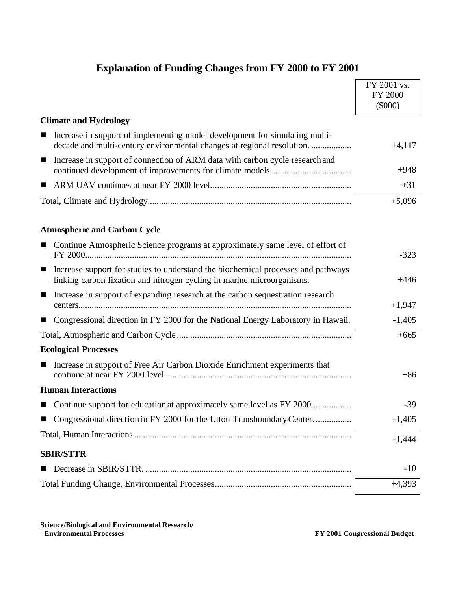| <b>Explanation of Funding Changes from FY 2000 to FY 2001</b> |  |
|---------------------------------------------------------------|--|
|                                                               |  |

|                                                                                                                                                                               | FY 2001 vs.<br>FY 2000 |
|-------------------------------------------------------------------------------------------------------------------------------------------------------------------------------|------------------------|
|                                                                                                                                                                               | $(\$000)$              |
| <b>Climate and Hydrology</b>                                                                                                                                                  |                        |
| Increase in support of implementing model development for simulating multi-<br>decade and multi-century environmental changes at regional resolution                          | $+4,117$               |
| Increase in support of connection of ARM data with carbon cycle research and<br>$\blacksquare$                                                                                | $+948$                 |
|                                                                                                                                                                               | $+31$                  |
|                                                                                                                                                                               | $+5,096$               |
| <b>Atmospheric and Carbon Cycle</b>                                                                                                                                           |                        |
| Continue Atmospheric Science programs at approximately same level of effort of<br>П                                                                                           | $-323$                 |
| Increase support for studies to understand the biochemical processes and pathways<br>$\blacksquare$<br>linking carbon fixation and nitrogen cycling in marine microorganisms. | $+446$                 |
| Increase in support of expanding research at the carbon sequestration research<br>$\blacksquare$                                                                              | $+1,947$               |
| Congressional direction in FY 2000 for the National Energy Laboratory in Hawaii.<br>■                                                                                         | $-1,405$               |
|                                                                                                                                                                               | $+665$                 |
| <b>Ecological Processes</b>                                                                                                                                                   |                        |
| Increase in support of Free Air Carbon Dioxide Enrichment experiments that<br>■                                                                                               | $+86$                  |
| <b>Human Interactions</b>                                                                                                                                                     |                        |
| Continue support for education at approximately same level as FY 2000                                                                                                         | $-39$                  |
| Congressional direction in FY 2000 for the Utton Transboundary Center                                                                                                         | $-1,405$               |
|                                                                                                                                                                               | $-1,444$               |
| <b>SBIR/STTR</b>                                                                                                                                                              |                        |
| Decrease in SBIR/STTR.                                                                                                                                                        | $-10$                  |
|                                                                                                                                                                               | $+4,393$               |
|                                                                                                                                                                               |                        |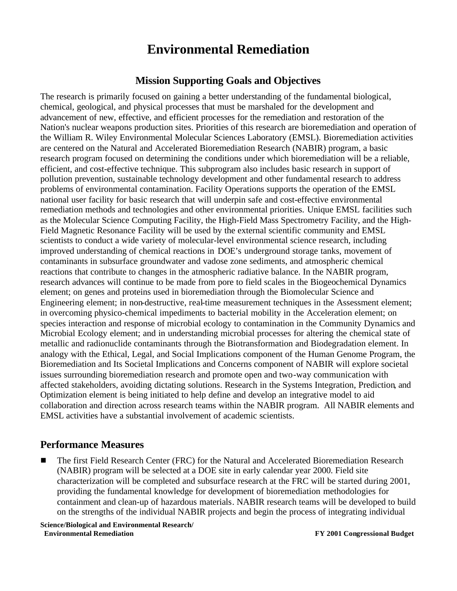## **Environmental Remediation**

### **Mission Supporting Goals and Objectives**

The research is primarily focused on gaining a better understanding of the fundamental biological, chemical, geological, and physical processes that must be marshaled for the development and advancement of new, effective, and efficient processes for the remediation and restoration of the Nation's nuclear weapons production sites. Priorities of this research are bioremediation and operation of the William R. Wiley Environmental Molecular Sciences Laboratory (EMSL). Bioremediation activities are centered on the Natural and Accelerated Bioremediation Research (NABIR) program, a basic research program focused on determining the conditions under which bioremediation will be a reliable, efficient, and cost-effective technique. This subprogram also includes basic research in support of pollution prevention, sustainable technology development and other fundamental research to address problems of environmental contamination. Facility Operations supports the operation of the EMSL national user facility for basic research that will underpin safe and cost-effective environmental remediation methods and technologies and other environmental priorities. Unique EMSL facilities such as the Molecular Science Computing Facility, the High-Field Mass Spectrometry Facility, and the High-Field Magnetic Resonance Facility will be used by the external scientific community and EMSL scientists to conduct a wide variety of molecular-level environmental science research, including improved understanding of chemical reactions in DOE's underground storage tanks, movement of contaminants in subsurface groundwater and vadose zone sediments, and atmospheric chemical reactions that contribute to changes in the atmospheric radiative balance. In the NABIR program, research advances will continue to be made from pore to field scales in the Biogeochemical Dynamics element; on genes and proteins used in bioremediation through the Biomolecular Science and Engineering element; in non-destructive, real-time measurement techniques in the Assessment element; in overcoming physico-chemical impediments to bacterial mobility in the Acceleration element; on species interaction and response of microbial ecology to contamination in the Community Dynamics and Microbial Ecology element; and in understanding microbial processes for altering the chemical state of metallic and radionuclide contaminants through the Biotransformation and Biodegradation element. In analogy with the Ethical, Legal, and Social Implications component of the Human Genome Program, the Bioremediation and Its Societal Implications and Concerns component of NABIR will explore societal issues surrounding bioremediation research and promote open and two-way communication with affected stakeholders, avoiding dictating solutions. Research in the Systems Integration, Prediction, and Optimization element is being initiated to help define and develop an integrative model to aid collaboration and direction across research teams within the NABIR program. All NABIR elements and EMSL activities have a substantial involvement of academic scientists.

### **Performance Measures**

<sup>g</sup> The first Field Research Center (FRC) for the Natural and Accelerated Bioremediation Research (NABIR) program will be selected at a DOE site in early calendar year 2000. Field site characterization will be completed and subsurface research at the FRC will be started during 2001, providing the fundamental knowledge for development of bioremediation methodologies for containment and clean-up of hazardous materials. NABIR research teams will be developed to build on the strengths of the individual NABIR projects and begin the process of integrating individual

**Science/Biological and Environmental Research/ Environmental Remediation FY 2001 Congressional Budget**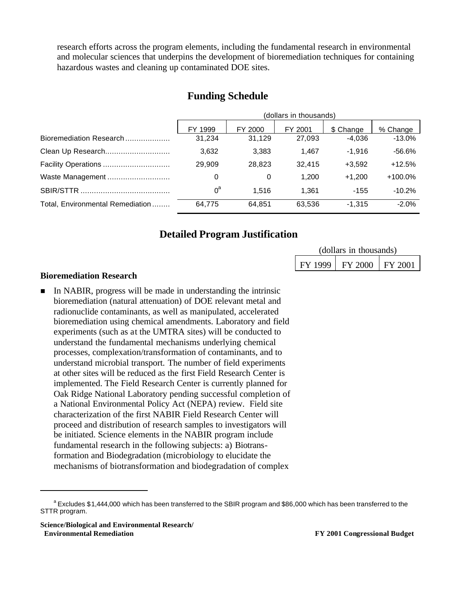research efforts across the program elements, including the fundamental research in environmental and molecular sciences that underpins the development of bioremediation techniques for containing hazardous wastes and cleaning up contaminated DOE sites.

|                                  | (dollars in thousands) |         |         |           |           |
|----------------------------------|------------------------|---------|---------|-----------|-----------|
|                                  | FY 1999                | FY 2000 | FY 2001 | \$ Change | % Change  |
| Bioremediation Research          | 31.234                 | 31.129  | 27,093  | $-4.036$  | $-13.0\%$ |
| Clean Up Research                | 3,632                  | 3,383   | 1.467   | $-1.916$  | -56.6%    |
| Facility Operations              | 29.909                 | 28.823  | 32.415  | $+3.592$  | $+12.5%$  |
| Waste Management                 | 0                      | 0       | 1.200   | $+1.200$  | $+100.0%$ |
|                                  | $0^a$                  | 1.516   | 1.361   | $-155$    | $-10.2%$  |
| Total, Environmental Remediation | 64,775                 | 64.851  | 63,536  | $-1,315$  | $-2.0%$   |

### **Funding Schedule**

### **Detailed Program Justification**

| (dollars in thousands) |                               |  |  |  |
|------------------------|-------------------------------|--|--|--|
| FY 1999                | $\mid$ FY 2000 $\mid$ FY 2001 |  |  |  |

#### **Bioremediation Research**

n In NABIR, progress will be made in understanding the intrinsic bioremediation (natural attenuation) of DOE relevant metal and radionuclide contaminants, as well as manipulated, accelerated bioremediation using chemical amendments. Laboratory and field experiments (such as at the UMTRA sites) will be conducted to understand the fundamental mechanisms underlying chemical processes, complexation/transformation of contaminants, and to understand microbial transport. The number of field experiments at other sites will be reduced as the first Field Research Center is implemented. The Field Research Center is currently planned for Oak Ridge National Laboratory pending successful completion of a National Environmental Policy Act (NEPA) review. Field site characterization of the first NABIR Field Research Center will proceed and distribution of research samples to investigators will be initiated. Science elements in the NABIR program include fundamental research in the following subjects: a) Biotransformation and Biodegradation (microbiology to elucidate the mechanisms of biotransformation and biodegradation of complex

**Science/Biological and Environmental Research/ Environmental Remediation FY 2001 Congressional Budget**

<sup>&</sup>lt;sup>a</sup> Excludes \$1,444,000 which has been transferred to the SBIR program and \$86,000 which has been transferred to the STTR program.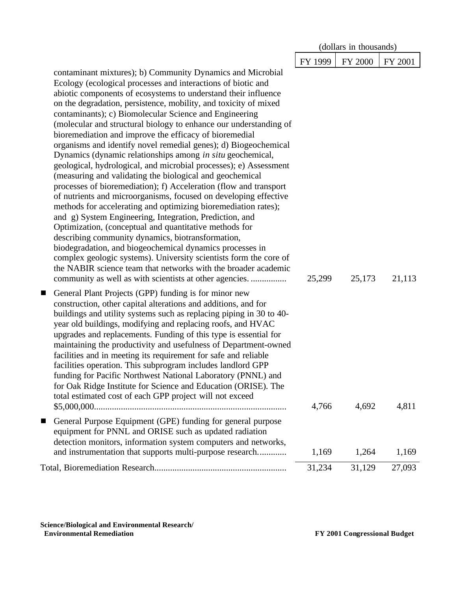|                                                                                                                                                                                                                                                                                                                                                                                                                                                                                                                                                                                                                                                                                                                                                                                                                                                                                                                                                                                                                                                                                                                                                                                                                                                                                                                                                                                |         | (dollars in thousands) |         |
|--------------------------------------------------------------------------------------------------------------------------------------------------------------------------------------------------------------------------------------------------------------------------------------------------------------------------------------------------------------------------------------------------------------------------------------------------------------------------------------------------------------------------------------------------------------------------------------------------------------------------------------------------------------------------------------------------------------------------------------------------------------------------------------------------------------------------------------------------------------------------------------------------------------------------------------------------------------------------------------------------------------------------------------------------------------------------------------------------------------------------------------------------------------------------------------------------------------------------------------------------------------------------------------------------------------------------------------------------------------------------------|---------|------------------------|---------|
|                                                                                                                                                                                                                                                                                                                                                                                                                                                                                                                                                                                                                                                                                                                                                                                                                                                                                                                                                                                                                                                                                                                                                                                                                                                                                                                                                                                | FY 1999 | FY 2000                | FY 2001 |
| contaminant mixtures); b) Community Dynamics and Microbial<br>Ecology (ecological processes and interactions of biotic and<br>abiotic components of ecosystems to understand their influence<br>on the degradation, persistence, mobility, and toxicity of mixed<br>contaminants); c) Biomolecular Science and Engineering<br>(molecular and structural biology to enhance our understanding of<br>bioremediation and improve the efficacy of bioremedial<br>organisms and identify novel remedial genes); d) Biogeochemical<br>Dynamics (dynamic relationships among in situ geochemical,<br>geological, hydrological, and microbial processes); e) Assessment<br>(measuring and validating the biological and geochemical<br>processes of bioremediation); f) Acceleration (flow and transport<br>of nutrients and microorganisms, focused on developing effective<br>methods for accelerating and optimizing bioremediation rates);<br>and g) System Engineering, Integration, Prediction, and<br>Optimization, (conceptual and quantitative methods for<br>describing community dynamics, biotransformation,<br>biodegradation, and biogeochemical dynamics processes in<br>complex geologic systems). University scientists form the core of<br>the NABIR science team that networks with the broader academic<br>community as well as with scientists at other agencies. | 25,299  | 25,173                 | 21,113  |
| General Plant Projects (GPP) funding is for minor new<br>ш<br>construction, other capital alterations and additions, and for<br>buildings and utility systems such as replacing piping in 30 to 40-<br>year old buildings, modifying and replacing roofs, and HVAC<br>upgrades and replacements. Funding of this type is essential for<br>maintaining the productivity and usefulness of Department-owned<br>facilities and in meeting its requirement for safe and reliable<br>facilities operation. This subprogram includes landlord GPP<br>funding for Pacific Northwest National Laboratory (PNNL) and<br>for Oak Ridge Institute for Science and Education (ORISE). The<br>total estimated cost of each GPP project will not exceed                                                                                                                                                                                                                                                                                                                                                                                                                                                                                                                                                                                                                                      | 4,766   | 4,692                  | 4,811   |
| General Purpose Equipment (GPE) funding for general purpose<br>$\blacksquare$<br>equipment for PNNL and ORISE such as updated radiation<br>detection monitors, information system computers and networks,<br>and instrumentation that supports multi-purpose research                                                                                                                                                                                                                                                                                                                                                                                                                                                                                                                                                                                                                                                                                                                                                                                                                                                                                                                                                                                                                                                                                                          | 1,169   | 1,264                  | 1,169   |
|                                                                                                                                                                                                                                                                                                                                                                                                                                                                                                                                                                                                                                                                                                                                                                                                                                                                                                                                                                                                                                                                                                                                                                                                                                                                                                                                                                                | 31,234  | 31,129                 | 27,093  |
|                                                                                                                                                                                                                                                                                                                                                                                                                                                                                                                                                                                                                                                                                                                                                                                                                                                                                                                                                                                                                                                                                                                                                                                                                                                                                                                                                                                |         |                        |         |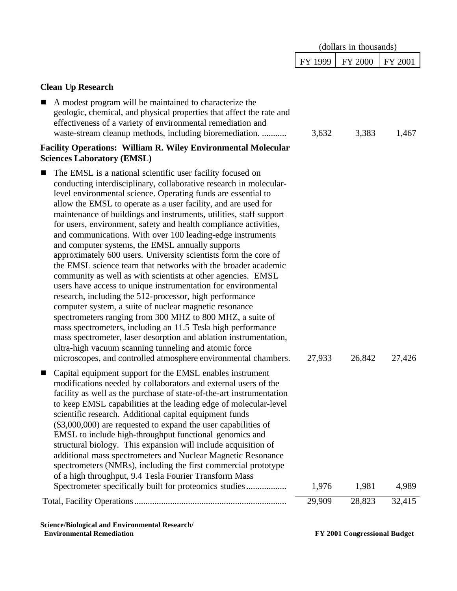|                                                                                                                                                                                                                                                                                                                                                                                                                                                                                                                                                                                                                                                                                                                                                                                                                                                                                                                                                                                                                                                                                                                                                                                                                                                             | (dollars in thousands) |                |         |
|-------------------------------------------------------------------------------------------------------------------------------------------------------------------------------------------------------------------------------------------------------------------------------------------------------------------------------------------------------------------------------------------------------------------------------------------------------------------------------------------------------------------------------------------------------------------------------------------------------------------------------------------------------------------------------------------------------------------------------------------------------------------------------------------------------------------------------------------------------------------------------------------------------------------------------------------------------------------------------------------------------------------------------------------------------------------------------------------------------------------------------------------------------------------------------------------------------------------------------------------------------------|------------------------|----------------|---------|
|                                                                                                                                                                                                                                                                                                                                                                                                                                                                                                                                                                                                                                                                                                                                                                                                                                                                                                                                                                                                                                                                                                                                                                                                                                                             | FY 1999                | <b>FY 2000</b> | FY 2001 |
| <b>Clean Up Research</b>                                                                                                                                                                                                                                                                                                                                                                                                                                                                                                                                                                                                                                                                                                                                                                                                                                                                                                                                                                                                                                                                                                                                                                                                                                    |                        |                |         |
| A modest program will be maintained to characterize the<br>■<br>geologic, chemical, and physical properties that affect the rate and<br>effectiveness of a variety of environmental remediation and<br>waste-stream cleanup methods, including bioremediation.                                                                                                                                                                                                                                                                                                                                                                                                                                                                                                                                                                                                                                                                                                                                                                                                                                                                                                                                                                                              | 3,632                  | 3,383          | 1,467   |
| <b>Facility Operations: William R. Wiley Environmental Molecular</b><br><b>Sciences Laboratory (EMSL)</b>                                                                                                                                                                                                                                                                                                                                                                                                                                                                                                                                                                                                                                                                                                                                                                                                                                                                                                                                                                                                                                                                                                                                                   |                        |                |         |
| The EMSL is a national scientific user facility focused on<br>■<br>conducting interdisciplinary, collaborative research in molecular-<br>level environmental science. Operating funds are essential to<br>allow the EMSL to operate as a user facility, and are used for<br>maintenance of buildings and instruments, utilities, staff support<br>for users, environment, safety and health compliance activities,<br>and communications. With over 100 leading-edge instruments<br>and computer systems, the EMSL annually supports<br>approximately 600 users. University scientists form the core of<br>the EMSL science team that networks with the broader academic<br>community as well as with scientists at other agencies. EMSL<br>users have access to unique instrumentation for environmental<br>research, including the 512-processor, high performance<br>computer system, a suite of nuclear magnetic resonance<br>spectrometers ranging from 300 MHZ to 800 MHZ, a suite of<br>mass spectrometers, including an 11.5 Tesla high performance<br>mass spectrometer, laser desorption and ablation instrumentation,<br>ultra-high vacuum scanning tunneling and atomic force<br>microscopes, and controlled atmosphere environmental chambers. | 27,933                 | 26,842         | 27,426  |
| Capital equipment support for the EMSL enables instrument<br>modifications needed by collaborators and external users of the<br>facility as well as the purchase of state-of-the-art instrumentation<br>to keep EMSL capabilities at the leading edge of molecular-level<br>scientific research. Additional capital equipment funds<br>(\$3,000,000) are requested to expand the user capabilities of<br>EMSL to include high-throughput functional genomics and<br>structural biology. This expansion will include acquisition of<br>additional mass spectrometers and Nuclear Magnetic Resonance<br>spectrometers (NMRs), including the first commercial prototype<br>of a high throughput, 9.4 Tesla Fourier Transform Mass                                                                                                                                                                                                                                                                                                                                                                                                                                                                                                                              |                        |                |         |
| Spectrometer specifically built for proteomics studies                                                                                                                                                                                                                                                                                                                                                                                                                                                                                                                                                                                                                                                                                                                                                                                                                                                                                                                                                                                                                                                                                                                                                                                                      | 1,976                  | 1,981          | 4,989   |
|                                                                                                                                                                                                                                                                                                                                                                                                                                                                                                                                                                                                                                                                                                                                                                                                                                                                                                                                                                                                                                                                                                                                                                                                                                                             | 29,909                 | 28,823         | 32,415  |

**Science/Biological and Environmental Research/**

 **Environmental Remediation FY 2001 Congressional Budget**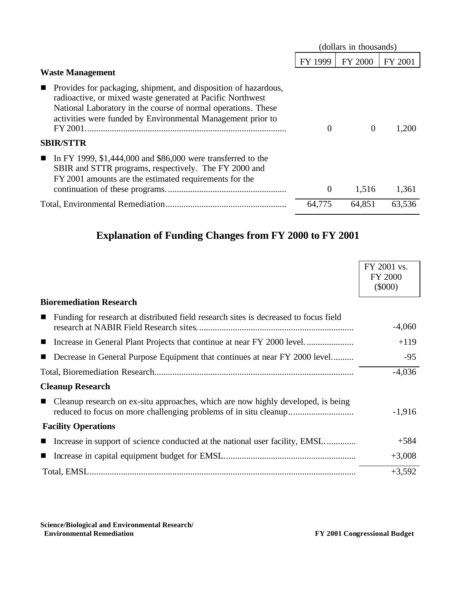|                                                                                                                                                                                                                                                                                 | (dollars in thousands) |                |         |
|---------------------------------------------------------------------------------------------------------------------------------------------------------------------------------------------------------------------------------------------------------------------------------|------------------------|----------------|---------|
|                                                                                                                                                                                                                                                                                 | FY 1999                | <b>FY 2000</b> | FY 2001 |
| <b>Waste Management</b>                                                                                                                                                                                                                                                         |                        |                |         |
| Provides for packaging, shipment, and disposition of hazardous,<br>$\blacksquare$<br>radioactive, or mixed waste generated at Pacific Northwest<br>National Laboratory in the course of normal operations. These<br>activities were funded by Environmental Management prior to | $\Omega$               | $\theta$       | 1.200   |
| <b>SBIR/STTR</b>                                                                                                                                                                                                                                                                |                        |                |         |
| In FY 1999, \$1,444,000 and \$86,000 were transferred to the<br>$\blacksquare$<br>SBIR and STTR programs, respectively. The FY 2000 and<br>FY 2001 amounts are the estimated requirements for the                                                                               | $\theta$               | 1,516          | 1,361   |
|                                                                                                                                                                                                                                                                                 | 64,775                 | 64,851         | 63,536  |
|                                                                                                                                                                                                                                                                                 |                        |                |         |

## **Explanation of Funding Changes from FY 2000 to FY 2001**

|                                                                                                        | FY 2001 vs.    |
|--------------------------------------------------------------------------------------------------------|----------------|
|                                                                                                        | <b>FY 2000</b> |
|                                                                                                        | $(\$000)$      |
|                                                                                                        |                |
| <b>Bioremediation Research</b>                                                                         |                |
| Funding for research at distributed field research sites is decreased to focus field<br>$\blacksquare$ |                |
|                                                                                                        | $-4,060$       |
|                                                                                                        | $+119$         |
|                                                                                                        |                |
| Decrease in General Purpose Equipment that continues at near FY 2000 level                             | $-95$          |
|                                                                                                        | $-4,036$       |
| <b>Cleanup Research</b>                                                                                |                |
| Cleanup research on ex-situ approaches, which are now highly developed, is being<br>$\mathbf{r}$       |                |
|                                                                                                        | $-1,916$       |
| <b>Facility Operations</b>                                                                             |                |
| Increase in support of science conducted at the national user facility, EMSL                           | $+584$         |
|                                                                                                        | $+3,008$       |
|                                                                                                        | $+3,592$       |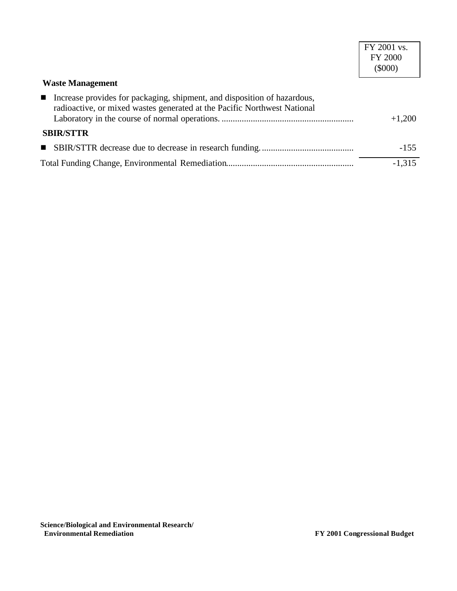|                                                                                                                                                                        | FY 2001 vs.<br><b>FY 2000</b><br>$(\$000)$ |
|------------------------------------------------------------------------------------------------------------------------------------------------------------------------|--------------------------------------------|
| <b>Waste Management</b>                                                                                                                                                |                                            |
| Increase provides for packaging, shipment, and disposition of hazardous,<br>$\blacksquare$<br>radioactive, or mixed wastes generated at the Pacific Northwest National | $+1,200$                                   |
| <b>SBIR/STTR</b>                                                                                                                                                       |                                            |
|                                                                                                                                                                        | $-155$                                     |
|                                                                                                                                                                        | $-1,315$                                   |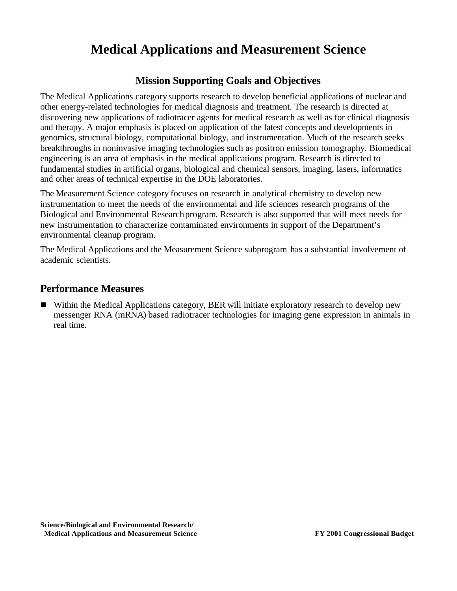# **Medical Applications and Measurement Science**

### **Mission Supporting Goals and Objectives**

The Medical Applications category supports research to develop beneficial applications of nuclear and other energy-related technologies for medical diagnosis and treatment. The research is directed at discovering new applications of radiotracer agents for medical research as well as for clinical diagnosis and therapy. A major emphasis is placed on application of the latest concepts and developments in genomics, structural biology, computational biology, and instrumentation. Much of the research seeks breakthroughs in noninvasive imaging technologies such as positron emission tomography. Biomedical engineering is an area of emphasis in the medical applications program. Research is directed to fundamental studies in artificial organs, biological and chemical sensors, imaging, lasers, informatics and other areas of technical expertise in the DOE laboratories.

The Measurement Science category focuses on research in analytical chemistry to develop new instrumentation to meet the needs of the environmental and life sciences research programs of the Biological and Environmental Research program. Research is also supported that will meet needs for new instrumentation to characterize contaminated environments in support of the Department's environmental cleanup program.

The Medical Applications and the Measurement Science subprogram has a substantial involvement of academic scientists.

### **Performance Measures**

**F** Within the Medical Applications category, BER will initiate exploratory research to develop new messenger RNA (mRNA) based radiotracer technologies for imaging gene expression in animals in real time.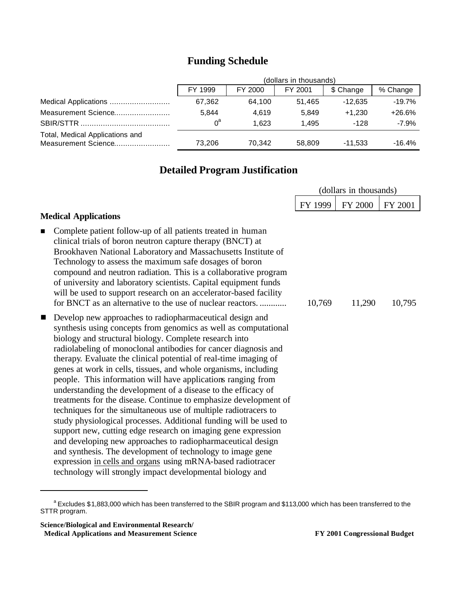|                                                        | (dollars in thousands) |         |         |           |          |
|--------------------------------------------------------|------------------------|---------|---------|-----------|----------|
|                                                        | FY 1999                | FY 2000 | FY 2001 | \$ Change | % Change |
|                                                        | 67,362                 | 64.100  | 51.465  | $-12.635$ | $-19.7%$ |
| Measurement Science                                    | 5.844                  | 4.619   | 5.849   | $+1.230$  | $+26.6%$ |
|                                                        | $0^{\circ}$            | 1.623   | 1.495   | $-128$    | $-7.9%$  |
| Total, Medical Applications and<br>Measurement Science | 73.206                 | 70.342  | 58,809  | -11.533   | $-16.4%$ |

## **Funding Schedule**

## **Detailed Program Justification**

|                                                                                                                                                                                                                                                                                                                                                                                                                                                                                                                                                                                                                                                                                                                                                                                                                                                                                                                                         |         | (dollars in thousands) |         |
|-----------------------------------------------------------------------------------------------------------------------------------------------------------------------------------------------------------------------------------------------------------------------------------------------------------------------------------------------------------------------------------------------------------------------------------------------------------------------------------------------------------------------------------------------------------------------------------------------------------------------------------------------------------------------------------------------------------------------------------------------------------------------------------------------------------------------------------------------------------------------------------------------------------------------------------------|---------|------------------------|---------|
|                                                                                                                                                                                                                                                                                                                                                                                                                                                                                                                                                                                                                                                                                                                                                                                                                                                                                                                                         | FY 1999 | <b>FY 2000</b>         | FY 2001 |
| <b>Medical Applications</b><br>Complete patient follow-up of all patients treated in human<br>$\blacksquare$<br>clinical trials of boron neutron capture therapy (BNCT) at<br>Brookhaven National Laboratory and Massachusetts Institute of<br>Technology to assess the maximum safe dosages of boron<br>compound and neutron radiation. This is a collaborative program<br>of university and laboratory scientists. Capital equipment funds<br>will be used to support research on an accelerator-based facility<br>for BNCT as an alternative to the use of nuclear reactors<br>Develop new approaches to radiopharmaceutical design and<br>$\blacksquare$<br>synthesis using concepts from genomics as well as computational                                                                                                                                                                                                         | 10,769  | 11,290                 | 10,795  |
| biology and structural biology. Complete research into<br>radiolabeling of monoclonal antibodies for cancer diagnosis and<br>therapy. Evaluate the clinical potential of real-time imaging of<br>genes at work in cells, tissues, and whole organisms, including<br>people. This information will have applications ranging from<br>understanding the development of a disease to the efficacy of<br>treatments for the disease. Continue to emphasize development of<br>techniques for the simultaneous use of multiple radiotracers to<br>study physiological processes. Additional funding will be used to<br>support new, cutting edge research on imaging gene expression<br>and developing new approaches to radiopharmaceutical design<br>and synthesis. The development of technology to image gene<br>expression in cells and organs using mRNA-based radiotracer<br>technology will strongly impact developmental biology and |         |                        |         |

a Excludes \$1,883,000 which has been transferred to the SBIR program and \$113,000 which has been transferred to the STTR program.

**Science/Biological and Environmental Research/ Medical Applications and Measurement Science FY 2001 Congressional Budget**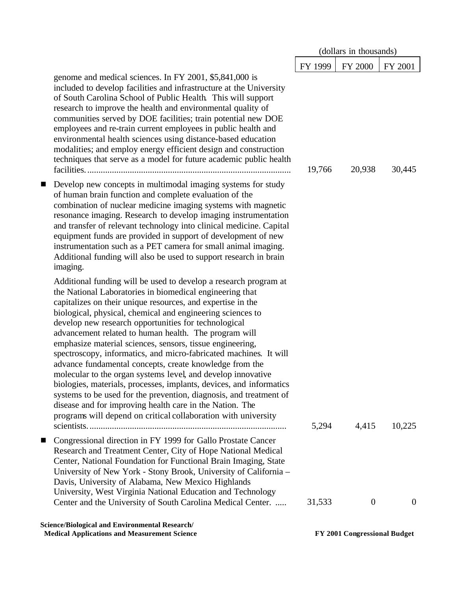|   |                                                                                                                                                                                                                                                                                                                                                                                                                                                                                                                                                                                                                                                                                                                                                                                                                                                                                                                    |         | (dollars in thousands) |                |
|---|--------------------------------------------------------------------------------------------------------------------------------------------------------------------------------------------------------------------------------------------------------------------------------------------------------------------------------------------------------------------------------------------------------------------------------------------------------------------------------------------------------------------------------------------------------------------------------------------------------------------------------------------------------------------------------------------------------------------------------------------------------------------------------------------------------------------------------------------------------------------------------------------------------------------|---------|------------------------|----------------|
|   |                                                                                                                                                                                                                                                                                                                                                                                                                                                                                                                                                                                                                                                                                                                                                                                                                                                                                                                    | FY 1999 | FY 2000                | FY 2001        |
|   | genome and medical sciences. In FY 2001, \$5,841,000 is<br>included to develop facilities and infrastructure at the University<br>of South Carolina School of Public Health. This will support<br>research to improve the health and environmental quality of<br>communities served by DOE facilities; train potential new DOE<br>employees and re-train current employees in public health and<br>environmental health sciences using distance-based education<br>modalities; and employ energy efficient design and construction<br>techniques that serve as a model for future academic public health                                                                                                                                                                                                                                                                                                           | 19,766  | 20,938                 | 30,445         |
| ш | Develop new concepts in multimodal imaging systems for study<br>of human brain function and complete evaluation of the<br>combination of nuclear medicine imaging systems with magnetic<br>resonance imaging. Research to develop imaging instrumentation<br>and transfer of relevant technology into clinical medicine. Capital<br>equipment funds are provided in support of development of new<br>instrumentation such as a PET camera for small animal imaging.<br>Additional funding will also be used to support research in brain<br>imaging.                                                                                                                                                                                                                                                                                                                                                               |         |                        |                |
|   | Additional funding will be used to develop a research program at<br>the National Laboratories in biomedical engineering that<br>capitalizes on their unique resources, and expertise in the<br>biological, physical, chemical and engineering sciences to<br>develop new research opportunities for technological<br>advancement related to human health. The program will<br>emphasize material sciences, sensors, tissue engineering,<br>spectroscopy, informatics, and micro-fabricated machines. It will<br>advance fundamental concepts, create knowledge from the<br>molecular to the organ systems level, and develop innovative<br>biologies, materials, processes, implants, devices, and informatics<br>systems to be used for the prevention, diagnosis, and treatment of<br>disease and for improving health care in the Nation. The<br>programs will depend on critical collaboration with university | 5,294   | 4,415                  | 10,225         |
| ш | Congressional direction in FY 1999 for Gallo Prostate Cancer<br>Research and Treatment Center, City of Hope National Medical<br>Center, National Foundation for Functional Brain Imaging, State<br>University of New York - Stony Brook, University of California -<br>Davis, University of Alabama, New Mexico Highlands<br>University, West Virginia National Education and Technology                                                                                                                                                                                                                                                                                                                                                                                                                                                                                                                           |         |                        |                |
|   | Center and the University of South Carolina Medical Center.                                                                                                                                                                                                                                                                                                                                                                                                                                                                                                                                                                                                                                                                                                                                                                                                                                                        | 31,533  | $\overline{0}$         | $\overline{0}$ |

**Science/Biological and Environmental Research/ Medical Applications and Measurement Science FY 2001 Congressional Budget**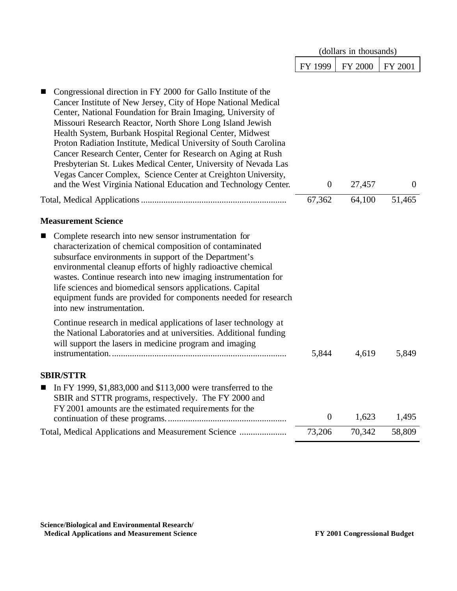|                                                                                                                                                                                                                                                                                                                                                                                                                                                                                                                                                                                                                                                                    |                  | (dollars in thousands) |                |
|--------------------------------------------------------------------------------------------------------------------------------------------------------------------------------------------------------------------------------------------------------------------------------------------------------------------------------------------------------------------------------------------------------------------------------------------------------------------------------------------------------------------------------------------------------------------------------------------------------------------------------------------------------------------|------------------|------------------------|----------------|
|                                                                                                                                                                                                                                                                                                                                                                                                                                                                                                                                                                                                                                                                    | FY 1999          | FY 2000                | FY 2001        |
| Congressional direction in FY 2000 for Gallo Institute of the<br>Cancer Institute of New Jersey, City of Hope National Medical<br>Center, National Foundation for Brain Imaging, University of<br>Missouri Research Reactor, North Shore Long Island Jewish<br>Health System, Burbank Hospital Regional Center, Midwest<br>Proton Radiation Institute, Medical University of South Carolina<br>Cancer Research Center, Center for Research on Aging at Rush<br>Presbyterian St. Lukes Medical Center, University of Nevada Las<br>Vegas Cancer Complex, Science Center at Creighton University,<br>and the West Virginia National Education and Technology Center. | $\overline{0}$   | 27,457                 | $\overline{0}$ |
|                                                                                                                                                                                                                                                                                                                                                                                                                                                                                                                                                                                                                                                                    | 67,362           | 64,100                 | 51,465         |
| <b>Measurement Science</b>                                                                                                                                                                                                                                                                                                                                                                                                                                                                                                                                                                                                                                         |                  |                        |                |
| Complete research into new sensor instrumentation for<br>characterization of chemical composition of contaminated<br>subsurface environments in support of the Department's<br>environmental cleanup efforts of highly radioactive chemical<br>wastes. Continue research into new imaging instrumentation for<br>life sciences and biomedical sensors applications. Capital<br>equipment funds are provided for components needed for research<br>into new instrumentation.                                                                                                                                                                                        |                  |                        |                |
| Continue research in medical applications of laser technology at<br>the National Laboratories and at universities. Additional funding<br>will support the lasers in medicine program and imaging                                                                                                                                                                                                                                                                                                                                                                                                                                                                   | 5,844            | 4,619                  | 5,849          |
| <b>SBIR/STTR</b>                                                                                                                                                                                                                                                                                                                                                                                                                                                                                                                                                                                                                                                   |                  |                        |                |
| In FY 1999, \$1,883,000 and \$113,000 were transferred to the<br>SBIR and STTR programs, respectively. The FY 2000 and<br>FY 2001 amounts are the estimated requirements for the                                                                                                                                                                                                                                                                                                                                                                                                                                                                                   | $\boldsymbol{0}$ | 1,623                  | 1,495          |
| Total, Medical Applications and Measurement Science                                                                                                                                                                                                                                                                                                                                                                                                                                                                                                                                                                                                                | 73,206           | 70,342                 | 58,809         |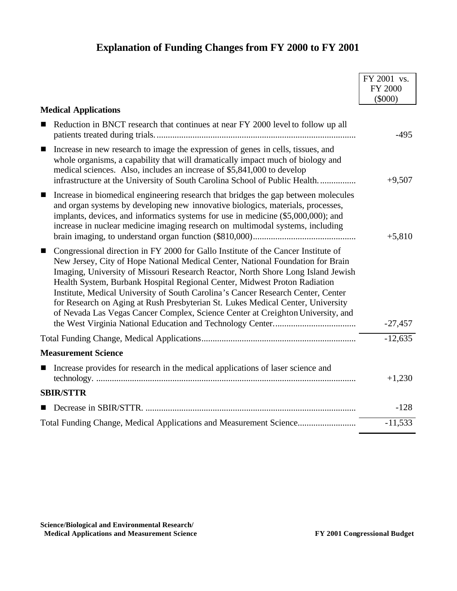## **Explanation of Funding Changes from FY 2000 to FY 2001**

|                                                                                                                                                                                                                                                                                                                                                                                                                                                                                                                                                                                                                   | FY 2001 vs.          |
|-------------------------------------------------------------------------------------------------------------------------------------------------------------------------------------------------------------------------------------------------------------------------------------------------------------------------------------------------------------------------------------------------------------------------------------------------------------------------------------------------------------------------------------------------------------------------------------------------------------------|----------------------|
|                                                                                                                                                                                                                                                                                                                                                                                                                                                                                                                                                                                                                   | FY 2000<br>$(\$000)$ |
| <b>Medical Applications</b>                                                                                                                                                                                                                                                                                                                                                                                                                                                                                                                                                                                       |                      |
| Reduction in BNCT research that continues at near FY 2000 level to follow up all<br>■                                                                                                                                                                                                                                                                                                                                                                                                                                                                                                                             | $-495$               |
| Increase in new research to image the expression of genes in cells, tissues, and<br>$\blacksquare$<br>whole organisms, a capability that will dramatically impact much of biology and<br>medical sciences. Also, includes an increase of \$5,841,000 to develop<br>infrastructure at the University of South Carolina School of Public Health                                                                                                                                                                                                                                                                     | $+9,507$             |
| Increase in biomedical engineering research that bridges the gap between molecules<br>$\blacksquare$<br>and organ systems by developing new innovative biologics, materials, processes,<br>implants, devices, and informatics systems for use in medicine (\$5,000,000); and<br>increase in nuclear medicine imaging research on multimodal systems, including                                                                                                                                                                                                                                                    | $+5,810$             |
| Congressional direction in FY 2000 for Gallo Institute of the Cancer Institute of<br>$\blacksquare$<br>New Jersey, City of Hope National Medical Center, National Foundation for Brain<br>Imaging, University of Missouri Research Reactor, North Shore Long Island Jewish<br>Health System, Burbank Hospital Regional Center, Midwest Proton Radiation<br>Institute, Medical University of South Carolina's Cancer Research Center, Center<br>for Research on Aging at Rush Presbyterian St. Lukes Medical Center, University<br>of Nevada Las Vegas Cancer Complex, Science Center at Creighton University, and | $-27,457$            |
|                                                                                                                                                                                                                                                                                                                                                                                                                                                                                                                                                                                                                   | $-12,635$            |
| <b>Measurement Science</b>                                                                                                                                                                                                                                                                                                                                                                                                                                                                                                                                                                                        |                      |
| Increase provides for research in the medical applications of laser science and<br>$\blacksquare$                                                                                                                                                                                                                                                                                                                                                                                                                                                                                                                 | $+1,230$             |
| <b>SBIR/STTR</b>                                                                                                                                                                                                                                                                                                                                                                                                                                                                                                                                                                                                  |                      |
|                                                                                                                                                                                                                                                                                                                                                                                                                                                                                                                                                                                                                   | $-128$               |
|                                                                                                                                                                                                                                                                                                                                                                                                                                                                                                                                                                                                                   | $-11,533$            |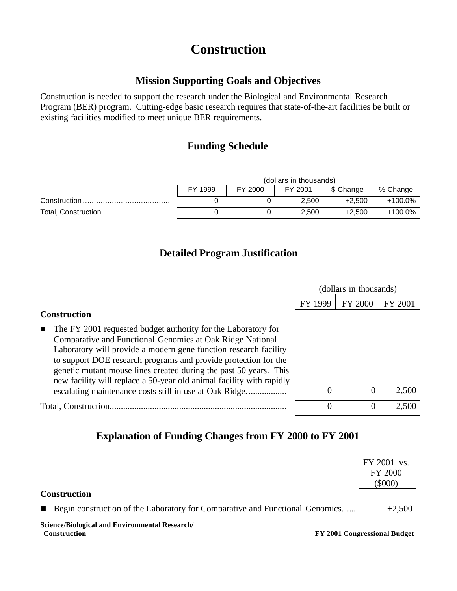# **Construction**

### **Mission Supporting Goals and Objectives**

Construction is needed to support the research under the Biological and Environmental Research Program (BER) program. Cutting-edge basic research requires that state-of-the-art facilities be built or existing facilities modified to meet unique BER requirements.

## **Funding Schedule**

|                     | (dollars in thousands)                                 |  |       |          |         |  |  |
|---------------------|--------------------------------------------------------|--|-------|----------|---------|--|--|
|                     | % Change<br>\$ Change<br>FY 1999<br>FY 2000<br>FY 2001 |  |       |          |         |  |  |
|                     |                                                        |  | 2.500 | $+2.500$ | +100.0% |  |  |
| Total, Construction |                                                        |  | 2.500 | $+2.500$ | +100.0% |  |  |

## **Detailed Program Justification**

|                                                                                                                                                                                                                                                                                                                                                                                                                                                                          | (dollars in thousands) |                |         |
|--------------------------------------------------------------------------------------------------------------------------------------------------------------------------------------------------------------------------------------------------------------------------------------------------------------------------------------------------------------------------------------------------------------------------------------------------------------------------|------------------------|----------------|---------|
|                                                                                                                                                                                                                                                                                                                                                                                                                                                                          | FY 1999                | <b>FY 2000</b> | FY 2001 |
| <b>Construction</b>                                                                                                                                                                                                                                                                                                                                                                                                                                                      |                        |                |         |
| The FY 2001 requested budget authority for the Laboratory for<br>Comparative and Functional Genomics at Oak Ridge National<br>Laboratory will provide a modern gene function research facility<br>to support DOE research programs and provide protection for the<br>genetic mutant mouse lines created during the past 50 years. This<br>new facility will replace a 50-year old animal facility with rapidly<br>escalating maintenance costs still in use at Oak Ridge | $\theta$               | $\theta$       | 2,500   |
| Total, Construction.                                                                                                                                                                                                                                                                                                                                                                                                                                                     | $\theta$               | $\theta$       | 2,500   |

## **Explanation of Funding Changes from FY 2000 to FY 2001**

|                                                                                                | FY 2001 vs.<br><b>FY 2000</b><br>$(\$000)$ |
|------------------------------------------------------------------------------------------------|--------------------------------------------|
| <b>Construction</b>                                                                            |                                            |
| Begin construction of the Laboratory for Comparative and Functional Genomics<br>$\blacksquare$ | $+2,500$                                   |
| Science/Biological and Environmental Research/<br><b>Construction</b>                          | FY 2001 Congressional Budget               |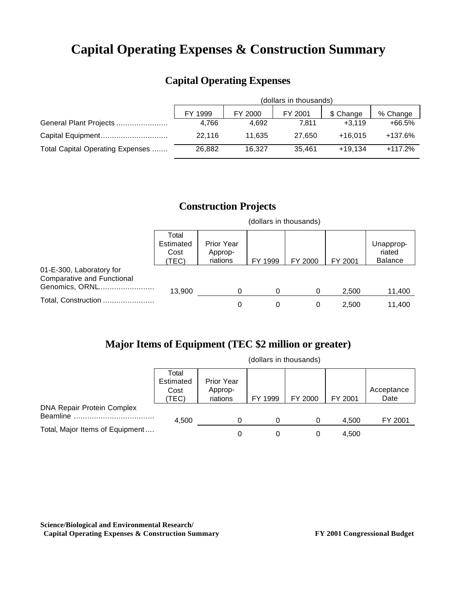# **Capital Operating Expenses & Construction Summary**

## **Capital Operating Expenses**

|                                  | (dollars in thousands) |         |         |           |           |  |  |
|----------------------------------|------------------------|---------|---------|-----------|-----------|--|--|
|                                  | FY 1999                | FY 2000 | FY 2001 | \$ Change | % Change  |  |  |
| General Plant Projects           | 4.766                  | 4.692   | 7.811   | $+3.119$  | +66.5%    |  |  |
| Capital Equipment                | 22.116                 | 11.635  | 27.650  | $+16.015$ | +137.6%   |  |  |
| Total Capital Operating Expenses | 26.882                 | 16.327  | 35.461  | $+19.134$ | $+117.2%$ |  |  |

## **Construction Projects**

(dollars in thousands)

|                                                                                 | Total<br>Estimated<br>Cost<br>TEC) | <b>Prior Year</b><br>Approp-<br>riations | FY 1999 | FY 2000 | FY 2001 | Unapprop-<br>riated<br><b>Balance</b> |
|---------------------------------------------------------------------------------|------------------------------------|------------------------------------------|---------|---------|---------|---------------------------------------|
| 01-E-300, Laboratory for<br><b>Comparative and Functional</b><br>Genomics, ORNL | 13,900                             |                                          |         |         | 2.500   | 11,400                                |
| Total, Construction                                                             |                                    |                                          |         |         | 2.500   | 11.400                                |

## **Major Items of Equipment (TEC \$2 million or greater)**

|                                   | (dollars in thousands)             |                                          |         |         |         |                    |
|-----------------------------------|------------------------------------|------------------------------------------|---------|---------|---------|--------------------|
|                                   | Total<br>Estimated<br>Cost<br>TEC) | <b>Prior Year</b><br>Approp-<br>riations | FY 1999 | FY 2000 | FY 2001 | Acceptance<br>Date |
| <b>DNA Repair Protein Complex</b> |                                    |                                          |         |         |         |                    |
| <b>Beamline</b>                   | 4,500                              |                                          |         |         | 4,500   | FY 2001            |
| Total, Major Items of Equipment   |                                    | 0                                        |         |         | 4,500   |                    |

**Science/Biological and Environmental Research/ Capital Operating Expenses & Construction Summary FY 2001 Congressional Budget**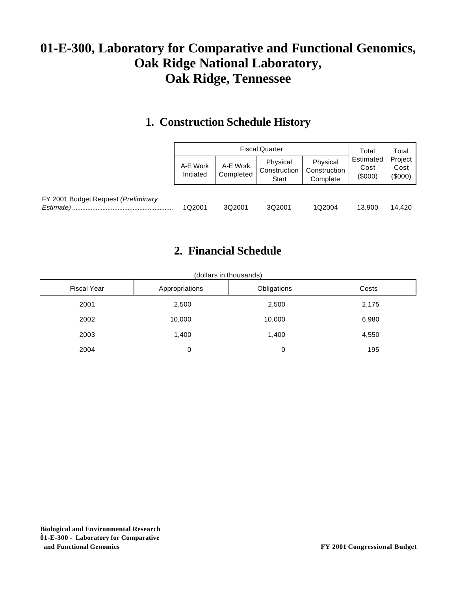# **01-E-300, Laboratory for Comparative and Functional Genomics, Oak Ridge National Laboratory, Oak Ridge, Tennessee**

## **1. Construction Schedule History**

|                                                  |                       | Total                 | Total                             |                                      |                            |                          |
|--------------------------------------------------|-----------------------|-----------------------|-----------------------------------|--------------------------------------|----------------------------|--------------------------|
|                                                  | A-E Work<br>Initiated | A-E Work<br>Completed | Physical<br>Construction<br>Start | Physical<br>Construction<br>Complete | Estimated<br>Cost<br>(000) | Project<br>Cost<br>(000) |
| FY 2001 Budget Request (Preliminary<br>Estimate) | 1Q2001                | 3Q2001                | 3Q2001                            | 1Q2004                               | 13.900                     | 14.420                   |

## **2. Financial Schedule**

| <b>Fiscal Year</b> | Appropriations | Obligations | Costs |
|--------------------|----------------|-------------|-------|
| 2001               | 2,500          | 2,500       | 2,175 |
| 2002               | 10,000         | 10,000      | 6,980 |
| 2003               | 1,400          | 1,400       | 4,550 |
| 2004               | 0              | 0           | 195   |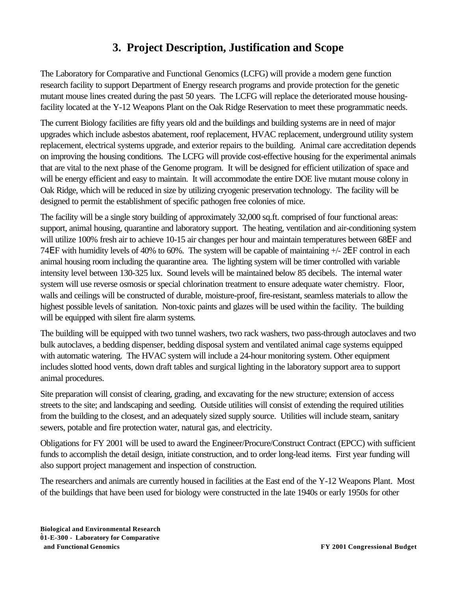## **3. Project Description, Justification and Scope**

The Laboratory for Comparative and Functional Genomics (LCFG) will provide a modern gene function research facility to support Department of Energy research programs and provide protection for the genetic mutant mouse lines created during the past 50 years. The LCFG will replace the deteriorated mouse housingfacility located at the Y-12 Weapons Plant on the Oak Ridge Reservation to meet these programmatic needs.

The current Biology facilities are fifty years old and the buildings and building systems are in need of major upgrades which include asbestos abatement, roof replacement, HVAC replacement, underground utility system replacement, electrical systems upgrade, and exterior repairs to the building. Animal care accreditation depends on improving the housing conditions. The LCFG will provide cost-effective housing for the experimental animals that are vital to the next phase of the Genome program. It will be designed for efficient utilization of space and will be energy efficient and easy to maintain. It will accommodate the entire DOE live mutant mouse colony in Oak Ridge, which will be reduced in size by utilizing cryogenic preservation technology. The facility will be designed to permit the establishment of specific pathogen free colonies of mice.

The facility will be a single story building of approximately 32,000 sq.ft. comprised of four functional areas: support, animal housing, quarantine and laboratory support. The heating, ventilation and air-conditioning system will utilize 100% fresh air to achieve 10-15 air changes per hour and maintain temperatures between 68EF and 74ΕF with humidity levels of 40% to 60%. The system will be capable of maintaining +/- 2ΕF control in each animal housing room including the quarantine area. The lighting system will be timer controlled with variable intensity level between 130-325 lux. Sound levels will be maintained below 85 decibels. The internal water system will use reverse osmosis or special chlorination treatment to ensure adequate water chemistry. Floor, walls and ceilings will be constructed of durable, moisture-proof, fire-resistant, seamless materials to allow the highest possible levels of sanitation. Non-toxic paints and glazes will be used within the facility. The building will be equipped with silent fire alarm systems.

The building will be equipped with two tunnel washers, two rack washers, two pass-through autoclaves and two bulk autoclaves, a bedding dispenser, bedding disposal system and ventilated animal cage systems equipped with automatic watering. The HVAC system will include a 24-hour monitoring system. Other equipment includes slotted hood vents, down draft tables and surgical lighting in the laboratory support area to support animal procedures.

Site preparation will consist of clearing, grading, and excavating for the new structure; extension of access streets to the site; and landscaping and seeding. Outside utilities will consist of extending the required utilities from the building to the closest, and an adequately sized supply source. Utilities will include steam, sanitary sewers, potable and fire protection water, natural gas, and electricity.

Obligations for FY 2001 will be used to award the Engineer/Procure/Construct Contract (EPCC) with sufficient funds to accomplish the detail design, initiate construction, and to order long-lead items. First year funding will also support project management and inspection of construction.

The researchers and animals are currently housed in facilities at the East end of the Y-12 Weapons Plant. Most of the buildings that have been used for biology were constructed in the late 1940s or early 1950s for other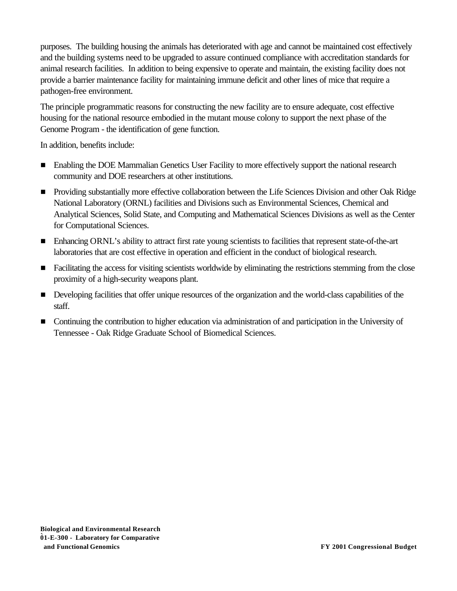purposes. The building housing the animals has deteriorated with age and cannot be maintained cost effectively and the building systems need to be upgraded to assure continued compliance with accreditation standards for animal research facilities. In addition to being expensive to operate and maintain, the existing facility does not provide a barrier maintenance facility for maintaining immune deficit and other lines of mice that require a pathogen-free environment.

The principle programmatic reasons for constructing the new facility are to ensure adequate, cost effective housing for the national resource embodied in the mutant mouse colony to support the next phase of the Genome Program - the identification of gene function.

In addition, benefits include:

- Enabling the DOE Mammalian Genetics User Facility to more effectively support the national research community and DOE researchers at other institutions.
- **•** Providing substantially more effective collaboration between the Life Sciences Division and other Oak Ridge National Laboratory (ORNL) facilities and Divisions such as Environmental Sciences, Chemical and Analytical Sciences, Solid State, and Computing and Mathematical Sciences Divisions as well as the Center for Computational Sciences.
- <sup>g</sup> Enhancing ORNL's ability to attract first rate young scientists to facilities that represent state-of-the-art laboratories that are cost effective in operation and efficient in the conduct of biological research.
- **Example 1** Facilitating the access for visiting scientists worldwide by eliminating the restrictions stemming from the close proximity of a high-security weapons plant.
- **Developing facilities that offer unique resources of the organization and the world-class capabilities of the** staff.
- **The Continuing the contribution to higher education via administration of and participation in the University of** Tennessee - Oak Ridge Graduate School of Biomedical Sciences.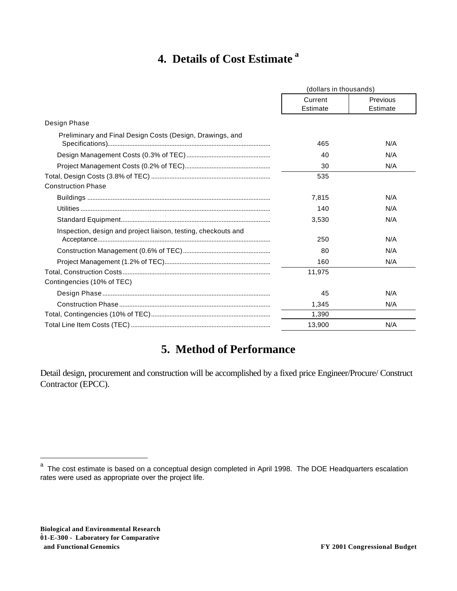## **4. Details of Cost Estimate <sup>a</sup>**

|                                                                | (dollars in thousands) |                      |
|----------------------------------------------------------------|------------------------|----------------------|
|                                                                | Current<br>Estimate    | Previous<br>Estimate |
| Design Phase                                                   |                        |                      |
| Preliminary and Final Design Costs (Design, Drawings, and      | 465                    | N/A                  |
|                                                                | 40                     | N/A                  |
|                                                                | 30                     | N/A                  |
|                                                                | 535                    |                      |
| <b>Construction Phase</b>                                      |                        |                      |
|                                                                | 7,815                  | N/A                  |
|                                                                | 140                    | N/A                  |
|                                                                | 3,530                  | N/A                  |
| Inspection, design and project liaison, testing, checkouts and | 250                    | N/A                  |
|                                                                | 80                     | N/A                  |
|                                                                | 160                    | N/A                  |
|                                                                | 11.975                 |                      |
| Contingencies (10% of TEC)                                     |                        |                      |
|                                                                | 45                     | N/A                  |
|                                                                | 1,345                  | N/A                  |
|                                                                | 1,390                  |                      |
|                                                                | 13,900                 | N/A                  |

## **5. Method of Performance**

Detail design, procurement and construction will be accomplished by a fixed price Engineer/Procure/ Construct Contractor (EPCC).

<sup>&</sup>lt;sup>a</sup> The cost estimate is based on a conceptual design completed in April 1998. The DOE Headquarters escalation rates were used as appropriate over the project life.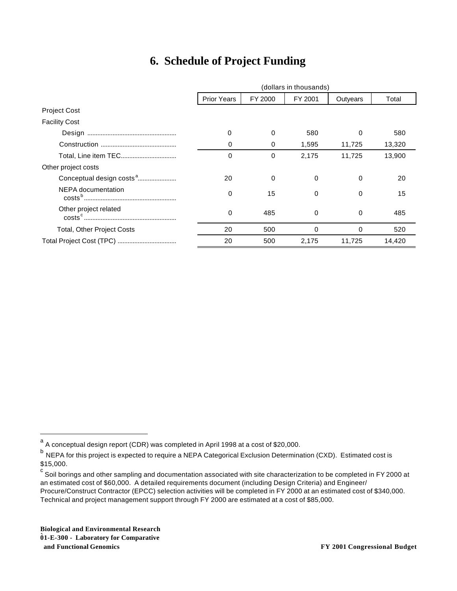## **6. Schedule of Project Funding**

|                                      | (dollars in thousands) |         |          |          |        |
|--------------------------------------|------------------------|---------|----------|----------|--------|
|                                      | <b>Prior Years</b>     | FY 2000 | FY 2001  | Outyears | Total  |
| <b>Project Cost</b>                  |                        |         |          |          |        |
| <b>Facility Cost</b>                 |                        |         |          |          |        |
|                                      | 0                      | 0       | 580      | 0        | 580    |
|                                      | 0                      | 0       | 1,595    | 11,725   | 13,320 |
|                                      | $\Omega$               | 0       | 2.175    | 11.725   | 13,900 |
| Other project costs                  |                        |         |          |          |        |
| Conceptual design costs <sup>a</sup> | 20                     | 0       | 0        | 0        | 20     |
| NEPA documentation                   | $\Omega$               | 15      | $\Omega$ | 0        | 15     |
| Other project related                | $\Omega$               | 485     | $\Omega$ | $\Omega$ | 485    |
| <b>Total, Other Project Costs</b>    | 20                     | 500     | $\Omega$ | $\Omega$ | 520    |
|                                      | 20                     | 500     | 2,175    | 11,725   | 14,420 |

**Biological and Environmental Research 01-E-300 - Laboratory for Comparative**  `  **and Functional Genomics FY 2001 Congressional Budget**

<sup>&</sup>lt;sup>a</sup> A conceptual design report (CDR) was completed in April 1998 at a cost of \$20,000.

<sup>&</sup>lt;sup>b</sup> NEPA for this project is expected to require a NEPA Categorical Exclusion Determination (CXD). Estimated cost is \$15,000.

 $^{\rm c}$  Soil borings and other sampling and documentation associated with site characterization to be completed in FY 2000 at an estimated cost of \$60,000. A detailed requirements document (including Design Criteria) and Engineer/ Procure/Construct Contractor (EPCC) selection activities will be completed in FY 2000 at an estimated cost of \$340,000. Technical and project management support through FY 2000 are estimated at a cost of \$85,000.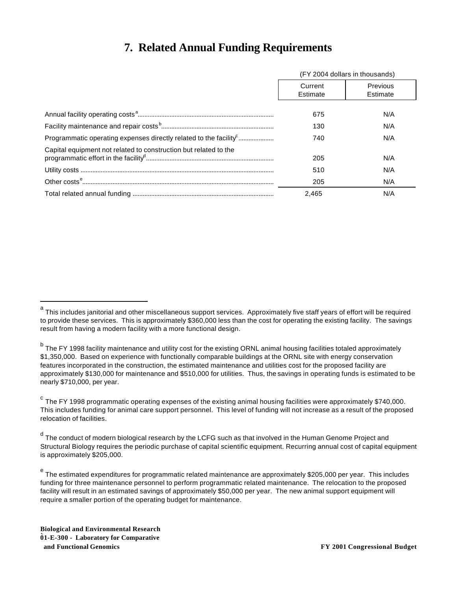## **7. Related Annual Funding Requirements**

|                                                                               | (FY 2004 dollars in thousands) |                      |  |
|-------------------------------------------------------------------------------|--------------------------------|----------------------|--|
|                                                                               | Current<br>Estimate            | Previous<br>Estimate |  |
|                                                                               | 675                            | N/A                  |  |
|                                                                               | 130                            | N/A                  |  |
| Programmatic operating expenses directly related to the facility <sup>c</sup> | 740                            | N/A                  |  |
| Capital equipment not related to construction but related to the              | 205                            | N/A                  |  |
|                                                                               | 510                            | N/A                  |  |
|                                                                               | 205                            | N/A                  |  |
|                                                                               | 2.465                          | N/A                  |  |

a<br><sup>a</sup> This includes janitorial and other miscellaneous support services. Approximately five staff years of effort will be required to provide these services. This is approximately \$360,000 less than the cost for operating the existing facility. The savings result from having a modern facility with a more functional design.

<sup>&</sup>lt;sup>b</sup> The FY 1998 facility maintenance and utility cost for the existing ORNL animal housing facilities totaled approximately \$1,350,000. Based on experience with functionally comparable buildings at the ORNL site with energy conservation features incorporated in the construction, the estimated maintenance and utilities cost for the proposed facility are approximately \$130,000 for maintenance and \$510,000 for utilities. Thus, the savings in operating funds is estimated to be nearly \$710,000, per year.

<sup>&</sup>lt;sup>c</sup> The FY 1998 programmatic operating expenses of the existing animal housing facilities were approximately \$740,000. This includes funding for animal care support personnel. This level of funding will not increase as a result of the proposed relocation of facilities.

<sup>&</sup>lt;sup>d</sup> The conduct of modern biological research by the LCFG such as that involved in the Human Genome Project and Structural Biology requires the periodic purchase of capital scientific equipment. Recurring annual cost of capital equipment is approximately \$205,000.

<sup>&</sup>lt;sup>e</sup> The estimated expenditures for programmatic related maintenance are approximately \$205,000 per year. This includes funding for three maintenance personnel to perform programmatic related maintenance. The relocation to the proposed facility will result in an estimated savings of approximately \$50,000 per year. The new animal support equipment will require a smaller portion of the operating budget for maintenance.